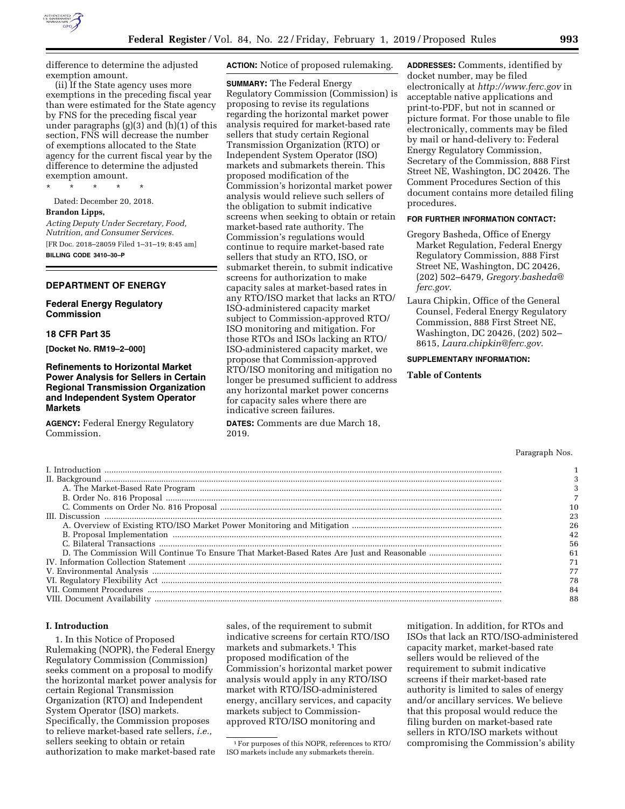

difference to determine the adjusted exemption amount.

(ii) If the State agency uses more exemptions in the preceding fiscal year than were estimated for the State agency by FNS for the preceding fiscal year under paragraphs (g)(3) and (h)(1) of this section, FNS will decrease the number of exemptions allocated to the State agency for the current fiscal year by the difference to determine the adjusted exemption amount.

\* \* \* \* \*

Dated: December 20, 2018.

### **Brandon Lipps,**

*Acting Deputy Under Secretary, Food, Nutrition, and Consumer Services.*  [FR Doc. 2018–28059 Filed 1–31–19; 8:45 am] **BILLING CODE 3410–30–P** 

## **DEPARTMENT OF ENERGY**

### **Federal Energy Regulatory Commission**

### **18 CFR Part 35**

**[Docket No. RM19–2–000]** 

# **Refinements to Horizontal Market Power Analysis for Sellers in Certain Regional Transmission Organization and Independent System Operator Markets**

**AGENCY:** Federal Energy Regulatory Commission.

### **ACTION:** Notice of proposed rulemaking.

**SUMMARY:** The Federal Energy Regulatory Commission (Commission) is proposing to revise its regulations regarding the horizontal market power analysis required for market-based rate sellers that study certain Regional Transmission Organization (RTO) or Independent System Operator (ISO) markets and submarkets therein. This proposed modification of the Commission's horizontal market power analysis would relieve such sellers of the obligation to submit indicative screens when seeking to obtain or retain market-based rate authority. The Commission's regulations would continue to require market-based rate sellers that study an RTO, ISO, or submarket therein, to submit indicative screens for authorization to make capacity sales at market-based rates in any RTO/ISO market that lacks an RTO/ ISO-administered capacity market subject to Commission-approved RTO/ ISO monitoring and mitigation. For those RTOs and ISOs lacking an RTO/ ISO-administered capacity market, we propose that Commission-approved RTO/ISO monitoring and mitigation no longer be presumed sufficient to address any horizontal market power concerns for capacity sales where there are indicative screen failures.

**DATES:** Comments are due March 18, 2019.

**ADDRESSES:** Comments, identified by docket number, may be filed electronically at *<http://www.ferc.gov>*in acceptable native applications and print-to-PDF, but not in scanned or picture format. For those unable to file electronically, comments may be filed by mail or hand-delivery to: Federal Energy Regulatory Commission, Secretary of the Commission, 888 First Street NE, Washington, DC 20426. The Comment Procedures Section of this document contains more detailed filing procedures.

# **FOR FURTHER INFORMATION CONTACT:**

- Gregory Basheda, Office of Energy Market Regulation, Federal Energy Regulatory Commission, 888 First Street NE, Washington, DC 20426, (202) 502–6479, *[Gregory.basheda@](mailto:Gregory.basheda@ferc.gov) [ferc.gov](mailto:Gregory.basheda@ferc.gov)*.
- Laura Chipkin, Office of the General Counsel, Federal Energy Regulatory Commission, 888 First Street NE, Washington, DC 20426, (202) 502– 8615, *[Laura.chipkin@ferc.gov](mailto:Laura.chipkin@ferc.gov)*.

# **SUPPLEMENTARY INFORMATION:**

# **Table of Contents**

#### Paragraph Nos.

| 56 |
|----|
|    |
|    |
|    |
|    |
|    |
|    |

#### **I. Introduction**

1. In this Notice of Proposed Rulemaking (NOPR), the Federal Energy Regulatory Commission (Commission) seeks comment on a proposal to modify the horizontal market power analysis for certain Regional Transmission Organization (RTO) and Independent System Operator (ISO) markets. Specifically, the Commission proposes to relieve market-based rate sellers, *i.e.,*  sellers seeking to obtain or retain authorization to make market-based rate

sales, of the requirement to submit indicative screens for certain RTO/ISO markets and submarkets.1 This proposed modification of the Commission's horizontal market power analysis would apply in any RTO/ISO market with RTO/ISO-administered energy, ancillary services, and capacity markets subject to Commissionapproved RTO/ISO monitoring and

mitigation. In addition, for RTOs and ISOs that lack an RTO/ISO-administered capacity market, market-based rate sellers would be relieved of the requirement to submit indicative screens if their market-based rate authority is limited to sales of energy and/or ancillary services. We believe that this proposal would reduce the filing burden on market-based rate sellers in RTO/ISO markets without compromising the Commission's ability

<sup>1</sup>For purposes of this NOPR, references to RTO/ ISO markets include any submarkets therein.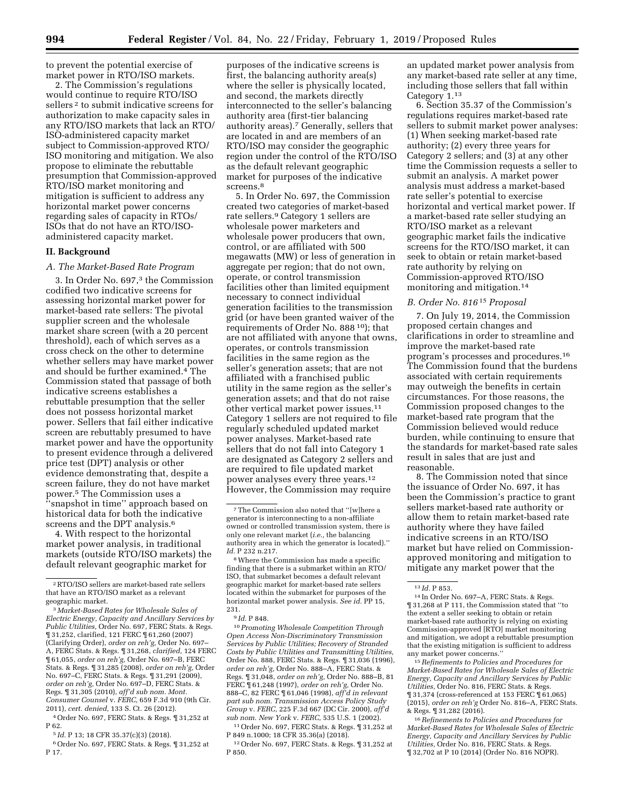to prevent the potential exercise of market power in RTO/ISO markets.

2. The Commission's regulations would continue to require RTO/ISO sellers<sup>2</sup> to submit indicative screens for authorization to make capacity sales in any RTO/ISO markets that lack an RTO/ ISO-administered capacity market subject to Commission-approved RTO/ ISO monitoring and mitigation. We also propose to eliminate the rebuttable presumption that Commission-approved RTO/ISO market monitoring and mitigation is sufficient to address any horizontal market power concerns regarding sales of capacity in RTOs/ ISOs that do not have an RTO/ISOadministered capacity market.

### **II. Background**

#### *A. The Market-Based Rate Program*

3. In Order No. 697,3 the Commission codified two indicative screens for assessing horizontal market power for market-based rate sellers: The pivotal supplier screen and the wholesale market share screen (with a 20 percent threshold), each of which serves as a cross check on the other to determine whether sellers may have market power and should be further examined.4 The Commission stated that passage of both indicative screens establishes a rebuttable presumption that the seller does not possess horizontal market power. Sellers that fail either indicative screen are rebuttably presumed to have market power and have the opportunity to present evidence through a delivered price test (DPT) analysis or other evidence demonstrating that, despite a screen failure, they do not have market power.5 The Commission uses a ''snapshot in time'' approach based on historical data for both the indicative screens and the DPT analysis.<sup>6</sup>

4. With respect to the horizontal market power analysis, in traditional markets (outside RTO/ISO markets) the default relevant geographic market for

4Order No. 697, FERC Stats. & Regs. ¶ 31,252 at P 62.

5 *Id.* P 13; 18 CFR 35.37(c)(3) (2018).

6Order No. 697, FERC Stats. & Regs. ¶ 31,252 at P 17.

purposes of the indicative screens is first, the balancing authority area(s) where the seller is physically located, and second, the markets directly interconnected to the seller's balancing authority area (first-tier balancing authority areas).7 Generally, sellers that are located in and are members of an RTO/ISO may consider the geographic region under the control of the RTO/ISO as the default relevant geographic market for purposes of the indicative screens.<sup>8</sup>

5. In Order No. 697, the Commission created two categories of market-based rate sellers.9 Category 1 sellers are wholesale power marketers and wholesale power producers that own, control, or are affiliated with 500 megawatts (MW) or less of generation in aggregate per region; that do not own, operate, or control transmission facilities other than limited equipment necessary to connect individual generation facilities to the transmission grid (or have been granted waiver of the requirements of Order No. 888 10); that are not affiliated with anyone that owns, operates, or controls transmission facilities in the same region as the seller's generation assets; that are not affiliated with a franchised public utility in the same region as the seller's generation assets; and that do not raise other vertical market power issues.11 Category 1 sellers are not required to file regularly scheduled updated market power analyses. Market-based rate sellers that do not fall into Category 1 are designated as Category 2 sellers and are required to file updated market power analyses every three years.12 However, the Commission may require

9 *Id.* P 848.

10*Promoting Wholesale Competition Through Open Access Non-Discriminatory Transmission Services by Public Utilities; Recovery of Stranded Costs by Public Utilities and Transmitting Utilities,*  Order No. 888, FERC Stats. & Regs. ¶ 31,036 (1996), *order on reh'g,* Order No. 888–A, FERC Stats. & Regs. ¶ 31,048, *order on reh'g,* Order No. 888–B, 81 FERC ¶ 61,248 (1997), *order on reh'g,* Order No. 888–C, 82 FERC ¶ 61,046 (1998), *aff'd in relevant part sub nom. Transmission Access Policy Study Group* v. *FERC,* 225 F.3d 667 (DC Cir. 2000), *aff'd sub nom. New York* v. *FERC,* 535 U.S. 1 (2002).

11Order No. 697, FERC Stats. & Regs. ¶ 31,252 at P 849 n.1000; 18 CFR 35.36(a) (2018).

12Order No. 697, FERC Stats. & Regs. ¶ 31,252 at P 850.

an updated market power analysis from any market-based rate seller at any time, including those sellers that fall within Category 1.13

6. Section 35.37 of the Commission's regulations requires market-based rate sellers to submit market power analyses: (1) When seeking market-based rate authority; (2) every three years for Category 2 sellers; and (3) at any other time the Commission requests a seller to submit an analysis. A market power analysis must address a market-based rate seller's potential to exercise horizontal and vertical market power. If a market-based rate seller studying an RTO/ISO market as a relevant geographic market fails the indicative screens for the RTO/ISO market, it can seek to obtain or retain market-based rate authority by relying on Commission-approved RTO/ISO monitoring and mitigation.14

# *B. Order No. 816* 15 *Proposal*

7. On July 19, 2014, the Commission proposed certain changes and clarifications in order to streamline and improve the market-based rate program's processes and procedures.16 The Commission found that the burdens associated with certain requirements may outweigh the benefits in certain circumstances. For those reasons, the Commission proposed changes to the market-based rate program that the Commission believed would reduce burden, while continuing to ensure that the standards for market-based rate sales result in sales that are just and reasonable.

8. The Commission noted that since the issuance of Order No. 697, it has been the Commission's practice to grant sellers market-based rate authority or allow them to retain market-based rate authority where they have failed indicative screens in an RTO/ISO market but have relied on Commissionapproved monitoring and mitigation to mitigate any market power that the

15*Refinements to Policies and Procedures for Market-Based Rates for Wholesale Sales of Electric Energy, Capacity and Ancillary Services by Public Utilities,* Order No. 816, FERC Stats. & Regs. ¶ 31,374 (cross-referenced at 153 FERC ¶ 61,065) (2015), *order on reh'g* Order No. 816–A, FERC Stats. & Regs. ¶ 31,282 (2016).

16*Refinements to Policies and Procedures for Market-Based Rates for Wholesale Sales of Electric Energy, Capacity and Ancillary Services by Public Utilities,* Order No. 816, FERC Stats. & Regs. ¶ 32,702 at P 10 (2014) (Order No. 816 NOPR).

<sup>2</sup>RTO/ISO sellers are market-based rate sellers that have an RTO/ISO market as a relevant geographic market.

<sup>3</sup> *Market-Based Rates for Wholesale Sales of Electric Energy, Capacity and Ancillary Services by Public Utilities,* Order No. 697, FERC Stats. & Regs. ¶ 31,252, clarified, 121 FERC ¶ 61,260 (2007) (Clarifying Order), *order on reh'g,* Order No. 697– A, FERC Stats. & Regs. ¶ 31,268, *clarified,* 124 FERC ¶ 61,055, *order on reh'g,* Order No. 697–B, FERC Stats. & Regs. ¶ 31,285 (2008), *order on reh'g,* Order No. 697–C, FERC Stats. & Regs. ¶ 31,291 (2009), *order on reh'g,* Order No. 697–D, FERC Stats. & Regs. ¶ 31,305 (2010), *aff'd sub nom. Mont. Consumer Counsel* v. *FERC,* 659 F.3d 910 (9th Cir. 2011), *cert. denied,* 133 S. Ct. 26 (2012).

<sup>7</sup>The Commission also noted that ''[w]here a generator is interconnecting to a non-affiliate owned or controlled transmission system, there is only one relevant market (*i.e.,* the balancing authority area in which the generator is located).'' *Id.* P 232 n.217.

<sup>8</sup>Where the Commission has made a specific finding that there is a submarket within an RTO/ ISO, that submarket becomes a default relevant geographic market for market-based rate sellers located within the submarket for purposes of the horizontal market power analysis. *See id.* PP 15, 231.

<sup>13</sup> *Id.* P 853. 14 In Order No. 697–A, FERC Stats. & Regs. ¶ 31,268 at P 111, the Commission stated that ''to the extent a seller seeking to obtain or retain market-based rate authority is relying on existing Commission-approved [RTO] market monitoring and mitigation, we adopt a rebuttable presumption that the existing mitigation is sufficient to address any market power concerns.''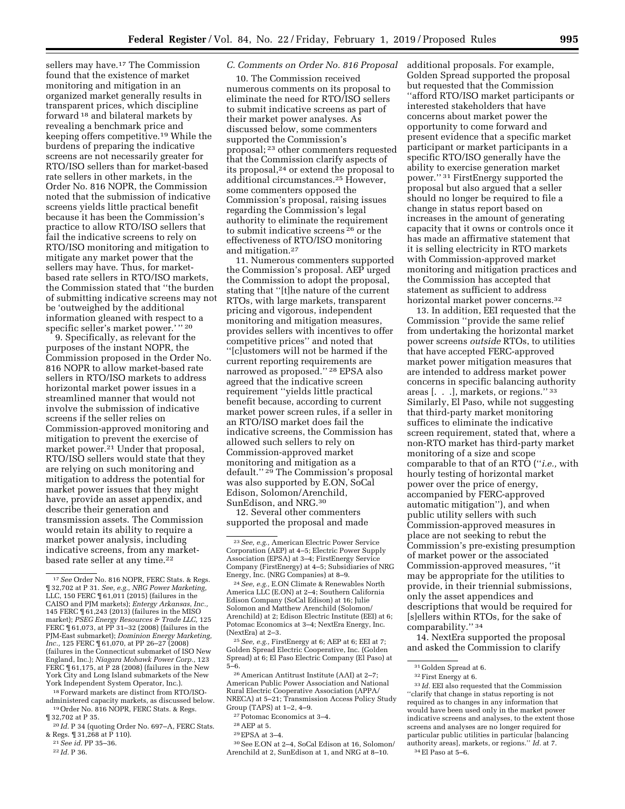sellers may have.17 The Commission found that the existence of market monitoring and mitigation in an organized market generally results in transparent prices, which discipline forward 18 and bilateral markets by revealing a benchmark price and keeping offers competitive.19 While the burdens of preparing the indicative screens are not necessarily greater for RTO/ISO sellers than for market-based rate sellers in other markets, in the Order No. 816 NOPR, the Commission noted that the submission of indicative screens yields little practical benefit because it has been the Commission's practice to allow RTO/ISO sellers that fail the indicative screens to rely on RTO/ISO monitoring and mitigation to mitigate any market power that the sellers may have. Thus, for marketbased rate sellers in RTO/ISO markets, the Commission stated that ''the burden of submitting indicative screens may not be 'outweighed by the additional information gleaned with respect to a specific seller's market power.'" 20

9. Specifically, as relevant for the purposes of the instant NOPR, the Commission proposed in the Order No. 816 NOPR to allow market-based rate sellers in RTO/ISO markets to address horizontal market power issues in a streamlined manner that would not involve the submission of indicative screens if the seller relies on Commission-approved monitoring and mitigation to prevent the exercise of market power.<sup>21</sup> Under that proposal, RTO/ISO sellers would state that they are relying on such monitoring and mitigation to address the potential for market power issues that they might have, provide an asset appendix, and describe their generation and transmission assets. The Commission would retain its ability to require a market power analysis, including indicative screens, from any marketbased rate seller at any time.22

<sup>18</sup> Forward markets are distinct from RTO/ISO-<br>administered capacity markets, as discussed below. <sup>19</sup> Order No. 816 NOPR, FERC Stats. & Regs.  $\P$  32,702 at P 35.

<sup>20</sup> Id. P 34 (quoting Order No. 697–A, FERC Stats. & Regs. ¶ 31,268 at P 110). 21*See id.* PP 35–36. 22 *Id.* P 36.

- 
- 

### *C. Comments on Order No. 816 Proposal*

10. The Commission received numerous comments on its proposal to eliminate the need for RTO/ISO sellers to submit indicative screens as part of their market power analyses. As discussed below, some commenters supported the Commission's proposal; 23 other commenters requested that the Commission clarify aspects of its proposal,24 or extend the proposal to additional circumstances.25 However, some commenters opposed the Commission's proposal, raising issues regarding the Commission's legal authority to eliminate the requirement to submit indicative screens 26 or the effectiveness of RTO/ISO monitoring and mitigation.27

11. Numerous commenters supported the Commission's proposal. AEP urged the Commission to adopt the proposal, stating that ''[t]he nature of the current RTOs, with large markets, transparent pricing and vigorous, independent monitoring and mitigation measures, provides sellers with incentives to offer competitive prices'' and noted that ''[c]ustomers will not be harmed if the current reporting requirements are narrowed as proposed.'' 28 EPSA also agreed that the indicative screen requirement ''yields little practical benefit because, according to current market power screen rules, if a seller in an RTO/ISO market does fail the indicative screens, the Commission has allowed such sellers to rely on Commission-approved market monitoring and mitigation as a default."<sup>29</sup> The Commission's proposal was also supported by E.ON, SoCal Edison, Solomon/Arenchild, SunEdison, and NRG.30

12. Several other commenters supported the proposal and made

25*See, e.g.,* FirstEnergy at 6; AEP at 6; EEI at 7; Golden Spread Electric Cooperative, Inc. (Golden Spread) at 6; El Paso Electric Company (El Paso) at 5–6.

26American Antitrust Institute (AAI) at 2–7; American Public Power Association and National Rural Electric Cooperative Association (APPA/ NRECA) at 5–21; Transmission Access Policy Study Group (TAPS) at 1–2, 4–9.

27Potomac Economics at 3–4.

29EPSA at 3–4.

30See E.ON at 2–4, SoCal Edison at 16, Solomon/ Arenchild at 2, SunEdison at 1, and NRG at 8–10.

additional proposals. For example, Golden Spread supported the proposal but requested that the Commission ''afford RTO/ISO market participants or interested stakeholders that have concerns about market power the opportunity to come forward and present evidence that a specific market participant or market participants in a specific RTO/ISO generally have the ability to exercise generation market power.'' 31 FirstEnergy supported the proposal but also argued that a seller should no longer be required to file a change in status report based on increases in the amount of generating capacity that it owns or controls once it has made an affirmative statement that it is selling electricity in RTO markets with Commission-approved market monitoring and mitigation practices and the Commission has accepted that statement as sufficient to address horizontal market power concerns.32

13. In addition, EEI requested that the Commission ''provide the same relief from undertaking the horizontal market power screens *outside* RTOs, to utilities that have accepted FERC-approved market power mitigation measures that are intended to address market power concerns in specific balancing authority areas [. . .], markets, or regions.'' 33 Similarly, El Paso, while not suggesting that third-party market monitoring suffices to eliminate the indicative screen requirement, stated that, where a non-RTO market has third-party market monitoring of a size and scope comparable to that of an RTO (''*i.e.,* with hourly testing of horizontal market power over the price of energy, accompanied by FERC-approved automatic mitigation''), and when public utility sellers with such Commission-approved measures in place are not seeking to rebut the Commission's pre-existing presumption of market power or the associated Commission-approved measures, ''it may be appropriate for the utilities to provide, in their triennial submissions, only the asset appendices and descriptions that would be required for [s]ellers within RTOs, for the sake of comparability.'' 34

14. NextEra supported the proposal and asked the Commission to clarify

<sup>17</sup>*See* Order No. 816 NOPR, FERC Stats. & Regs. ¶ 32,702 at P 31. *See, e.g., NRG Power Marketing,*  LLC, 150 FERC ¶ 61,011 (2015) (failures in the CAISO and PJM markets); *Entergy Arkansas, Inc.,*  145 FERC ¶ 61,243 (2013) (failures in the MISO market); *PSEG Energy Resources & Trade LLC,* 125 FERC ¶ 61,073, at PP 31–32 (2008) (failures in the PJM-East submarket); *Dominion Energy Marketing, Inc.,* 125 FERC ¶ 61,070, at PP 26–27 (2008) (failures in the Connecticut submarket of ISO New England, Inc.); *Niagara Mohawk Power Corp.,* 123 FERC ¶ 61,175, at P 28 (2008) (failures in the New York City and Long Island submarkets of the New York Independent System Operator, Inc.).

<sup>23</sup>*See, e.g.,* American Electric Power Service Corporation (AEP) at 4–5; Electric Power Supply Association (EPSA) at 3–4; FirstEnergy Service Company (FirstEnergy) at 4–5; Subsidiaries of NRG Energy, Inc. (NRG Companies) at 8–9.

<sup>24</sup>*See, e.g.,* E.ON Climate & Renewables North America LLC (E.ON) at 2–4; Southern California Edison Company (SoCal Edison) at 16; Julie Solomon and Matthew Arenchild (Solomon/ Arenchild) at 2; Edison Electric Institute (EEI) at 6; Potomac Economics at 3–4; NextEra Energy, Inc. (NextEra) at 2–3.

<sup>28</sup>AEP at 5.

<sup>31</sup> Golden Spread at 6.

<sup>32</sup>First Energy at 6.

 $^{\rm 33}$   $ld.$  EEI also requested that the Commission ''clarify that change in status reporting is not required as to changes in any information that would have been used only in the market power indicative screens and analyses, to the extent those screens and analyses are no longer required for particular public utilities in particular [balancing authority areas], markets, or regions.'' *Id.* at 7. 34El Paso at 5–6.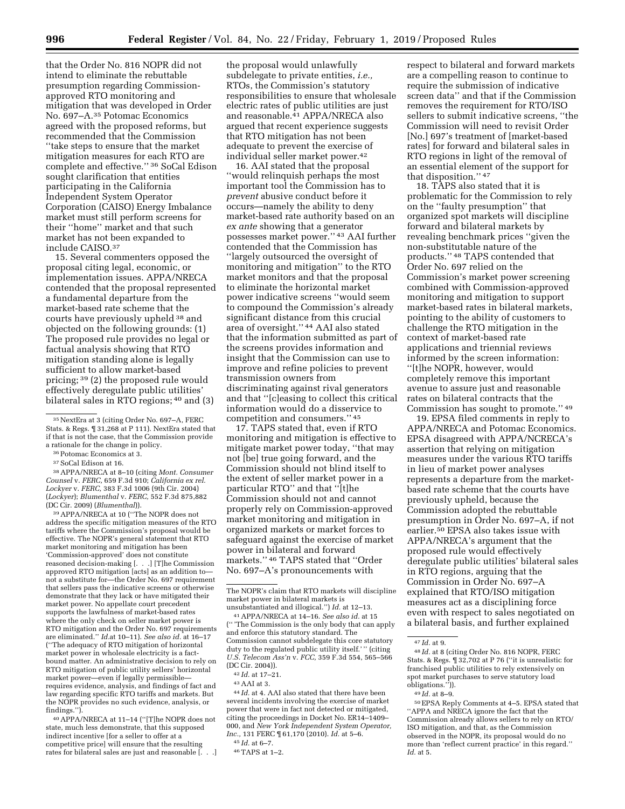that the Order No. 816 NOPR did not intend to eliminate the rebuttable presumption regarding Commissionapproved RTO monitoring and mitigation that was developed in Order No. 697–A.35 Potomac Economics agreed with the proposed reforms, but recommended that the Commission ''take steps to ensure that the market mitigation measures for each RTO are complete and effective.'' 36 SoCal Edison sought clarification that entities participating in the California Independent System Operator Corporation (CAISO) Energy Imbalance market must still perform screens for their ''home'' market and that such market has not been expanded to include CAISO.37

15. Several commenters opposed the proposal citing legal, economic, or implementation issues. APPA/NRECA contended that the proposal represented a fundamental departure from the market-based rate scheme that the courts have previously upheld 38 and objected on the following grounds: (1) The proposed rule provides no legal or factual analysis showing that RTO mitigation standing alone is legally sufficient to allow market-based pricing; 39 (2) the proposed rule would effectively deregulate public utilities' bilateral sales in RTO regions; 40 and (3)

36Potomac Economics at 3.

37SoCal Edison at 16.

38APPA/NRECA at 8–10 (citing *Mont. Consumer Counsel* v. *FERC,* 659 F.3d 910; *California ex rel. Lockyer* v. *FERC,* 383 F.3d 1006 (9th Cir. 2004) (*Lockyer*); *Blumenthal* v. *FERC,* 552 F.3d 875,882 (DC Cir. 2009) (*Blumenthal*)).

39APPA/NRECA at 10 (''The NOPR does not address the specific mitigation measures of the RTO tariffs where the Commission's proposal would be effective. The NOPR's general statement that RTO market monitoring and mitigation has been 'Commission-approved' does not constitute reasoned decision-making [. . .] [T]he Commission approved RTO mitigation [acts] as an addition to not a substitute for—the Order No. 697 requirement that sellers pass the indicative screens or otherwise demonstrate that they lack or have mitigated their market power. No appellate court precedent supports the lawfulness of market-based rates where the only check on seller market power is RTO mitigation and the Order No. 697 requirements are eliminated.'' *Id.*at 10–11). *See also id.* at 16–17 (''The adequacy of RTO mitigation of horizontal market power in wholesale electricity is a factbound matter. An administrative decision to rely on RTO mitigation of public utility sellers' horizontal market power—even if legally permissible requires evidence, analysis, and findings of fact and law regarding specific RTO tariffs and markets. But the NOPR provides no such evidence, analysis, or findings.'').

40APPA/NRECA at 11–14 (''[T]he NOPR does not state, much less demonstrate, that this supposed indirect incentive [for a seller to offer at a competitive price] will ensure that the resulting rates for bilateral sales are just and reasonable [. . .]

the proposal would unlawfully subdelegate to private entities, *i.e.,*  RTOs, the Commission's statutory responsibilities to ensure that wholesale electric rates of public utilities are just and reasonable.41 APPA/NRECA also argued that recent experience suggests that RTO mitigation has not been adequate to prevent the exercise of individual seller market power.42

16. AAI stated that the proposal ''would relinquish perhaps the most important tool the Commission has to *prevent* abusive conduct before it occurs—namely the ability to deny market-based rate authority based on an *ex ante* showing that a generator possesses market power.'' 43 AAI further contended that the Commission has ''largely outsourced the oversight of monitoring and mitigation'' to the RTO market monitors and that the proposal to eliminate the horizontal market power indicative screens ''would seem to compound the Commission's already significant distance from this crucial area of oversight.'' 44 AAI also stated that the information submitted as part of the screens provides information and insight that the Commission can use to improve and refine policies to prevent transmission owners from discriminating against rival generators and that ''[c]easing to collect this critical information would do a disservice to competition and consumers.'' 45

17. TAPS stated that, even if RTO monitoring and mitigation is effective to mitigate market power today, ''that may not [be] true going forward, and the Commission should not blind itself to the extent of seller market power in a particular RTO'' and that ''[t]he Commission should not and cannot properly rely on Commission-approved market monitoring and mitigation in organized markets or market forces to safeguard against the exercise of market power in bilateral and forward markets.'' 46 TAPS stated that ''Order No. 697–A's pronouncements with

41APPA/NRECA at 14–16. *See also id.* at 15 ('' 'The Commission is the only body that can apply and enforce this statutory standard. The Commission cannot subdelegate this core statutory duty to the regulated public utility itself.'" (citing *U.S. Telecom Ass'n* v. *FCC,* 359 F.3d 554, 565–566 (DC Cir. 2004)).

44 *Id.* at 4. AAI also stated that there have been several incidents involving the exercise of market power that were in fact not detected or mitigated, citing the proceedings in Docket No. ER14–1409– 000, and *New York Independent System Operator, Inc.,* 131 FERC ¶ 61,170 (2010). *Id.* at 5–6.

respect to bilateral and forward markets are a compelling reason to continue to require the submission of indicative screen data'' and that if the Commission removes the requirement for RTO/ISO sellers to submit indicative screens, ''the Commission will need to revisit Order [No.] 697's treatment of [market-based rates] for forward and bilateral sales in RTO regions in light of the removal of an essential element of the support for that disposition."  $\rm ^{47}$ 

18. TAPS also stated that it is problematic for the Commission to rely on the ''faulty presumption'' that organized spot markets will discipline forward and bilateral markets by revealing benchmark prices ''given the non-substitutable nature of the products.'' 48 TAPS contended that Order No. 697 relied on the Commission's market power screening combined with Commission-approved monitoring and mitigation to support market-based rates in bilateral markets, pointing to the ability of customers to challenge the RTO mitigation in the context of market-based rate applications and triennial reviews informed by the screen information: ''[t]he NOPR, however, would completely remove this important avenue to assure just and reasonable rates on bilateral contracts that the Commission has sought to promote.'' 49

19. EPSA filed comments in reply to APPA/NRECA and Potomac Economics. EPSA disagreed with APPA/NCRECA's assertion that relying on mitigation measures under the various RTO tariffs in lieu of market power analyses represents a departure from the marketbased rate scheme that the courts have previously upheld, because the Commission adopted the rebuttable presumption in Order No. 697–A, if not earlier.50 EPSA also takes issue with APPA/NRECA's argument that the proposed rule would effectively deregulate public utilities' bilateral sales in RTO regions, arguing that the Commission in Order No. 697–A explained that RTO/ISO mitigation measures act as a disciplining force even with respect to sales negotiated on a bilateral basis, and further explained

<sup>35</sup>NextEra at 3 (citing Order No. 697–A, FERC Stats. & Regs. ¶ 31,268 at P 111). NextEra stated that if that is not the case, that the Commission provide a rationale for the change in policy.

The NOPR's claim that RTO markets will discipline market power in bilateral markets is unsubstantiated and illogical.'') *Id.* at 12–13.

<sup>42</sup> *Id.* at 17–21.

<sup>43</sup>AAI at 3.

<sup>45</sup> *Id.* at 6–7.

<sup>46</sup>TAPS at 1–2.

<sup>47</sup> *Id.* at 9.

<sup>48</sup> *Id.* at 8 (citing Order No. 816 NOPR, FERC Stats. & Regs. ¶ 32,702 at P 76 (''it is unrealistic for franchised public utilities to rely extensively on spot market purchases to serve statutory load obligations.'')).

<sup>49</sup> *Id.* at 8–9.

<sup>50</sup>EPSA Reply Comments at 4–5. EPSA stated that ''APPA and NRECA ignore the fact that the Commission already allows sellers to rely on RTO/ ISO mitigation, and that, as the Commission observed in the NOPR, its proposal would do no more than 'reflect current practice' in this regard.'' *Id.* at 5.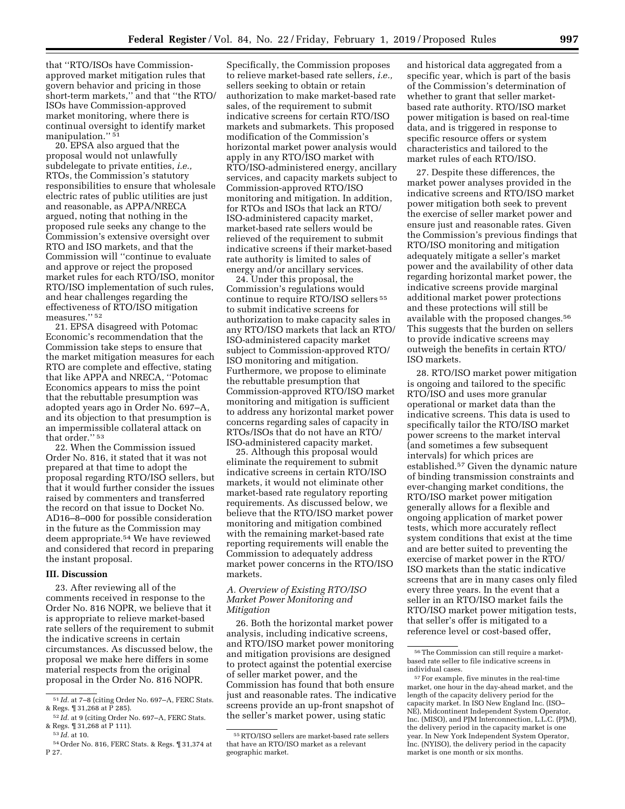that ''RTO/ISOs have Commissionapproved market mitigation rules that govern behavior and pricing in those short-term markets,'' and that ''the RTO/ ISOs have Commission-approved market monitoring, where there is continual oversight to identify market manipulation."<sup>51</sup>

20. EPSA also argued that the proposal would not unlawfully subdelegate to private entities, *i.e.,*  RTOs, the Commission's statutory responsibilities to ensure that wholesale electric rates of public utilities are just and reasonable, as APPA/NRECA argued, noting that nothing in the proposed rule seeks any change to the Commission's extensive oversight over RTO and ISO markets, and that the Commission will ''continue to evaluate and approve or reject the proposed market rules for each RTO/ISO, monitor RTO/ISO implementation of such rules, and hear challenges regarding the effectiveness of RTO/ISO mitigation measures.'' 52

21. EPSA disagreed with Potomac Economic's recommendation that the Commission take steps to ensure that the market mitigation measures for each RTO are complete and effective, stating that like APPA and NRECA, ''Potomac Economics appears to miss the point that the rebuttable presumption was adopted years ago in Order No. 697–A, and its objection to that presumption is an impermissible collateral attack on that order."<sup>53</sup>

22. When the Commission issued Order No. 816, it stated that it was not prepared at that time to adopt the proposal regarding RTO/ISO sellers, but that it would further consider the issues raised by commenters and transferred the record on that issue to Docket No. AD16–8–000 for possible consideration in the future as the Commission may deem appropriate.54 We have reviewed and considered that record in preparing the instant proposal.

### **III. Discussion**

23. After reviewing all of the comments received in response to the Order No. 816 NOPR, we believe that it is appropriate to relieve market-based rate sellers of the requirement to submit the indicative screens in certain circumstances. As discussed below, the proposal we make here differs in some material respects from the original proposal in the Order No. 816 NOPR.

Specifically, the Commission proposes to relieve market-based rate sellers, *i.e.,*  sellers seeking to obtain or retain authorization to make market-based rate sales, of the requirement to submit indicative screens for certain RTO/ISO markets and submarkets. This proposed modification of the Commission's horizontal market power analysis would apply in any RTO/ISO market with RTO/ISO-administered energy, ancillary services, and capacity markets subject to Commission-approved RTO/ISO monitoring and mitigation. In addition, for RTOs and ISOs that lack an RTO/ ISO-administered capacity market, market-based rate sellers would be relieved of the requirement to submit indicative screens if their market-based rate authority is limited to sales of energy and/or ancillary services.

24. Under this proposal, the Commission's regulations would continue to require RTO/ISO sellers 55 to submit indicative screens for authorization to make capacity sales in any RTO/ISO markets that lack an RTO/ ISO-administered capacity market subject to Commission-approved RTO/ ISO monitoring and mitigation. Furthermore, we propose to eliminate the rebuttable presumption that Commission-approved RTO/ISO market monitoring and mitigation is sufficient to address any horizontal market power concerns regarding sales of capacity in RTOs/ISOs that do not have an RTO/ ISO-administered capacity market.

25. Although this proposal would eliminate the requirement to submit indicative screens in certain RTO/ISO markets, it would not eliminate other market-based rate regulatory reporting requirements. As discussed below, we believe that the RTO/ISO market power monitoring and mitigation combined with the remaining market-based rate reporting requirements will enable the Commission to adequately address market power concerns in the RTO/ISO markets.

#### *A. Overview of Existing RTO/ISO Market Power Monitoring and Mitigation*

26. Both the horizontal market power analysis, including indicative screens, and RTO/ISO market power monitoring and mitigation provisions are designed to protect against the potential exercise of seller market power, and the Commission has found that both ensure just and reasonable rates. The indicative screens provide an up-front snapshot of the seller's market power, using static

and historical data aggregated from a specific year, which is part of the basis of the Commission's determination of whether to grant that seller marketbased rate authority. RTO/ISO market power mitigation is based on real-time data, and is triggered in response to specific resource offers or system characteristics and tailored to the market rules of each RTO/ISO.

27. Despite these differences, the market power analyses provided in the indicative screens and RTO/ISO market power mitigation both seek to prevent the exercise of seller market power and ensure just and reasonable rates. Given the Commission's previous findings that RTO/ISO monitoring and mitigation adequately mitigate a seller's market power and the availability of other data regarding horizontal market power, the indicative screens provide marginal additional market power protections and these protections will still be available with the proposed changes.56 This suggests that the burden on sellers to provide indicative screens may outweigh the benefits in certain RTO/ ISO markets.

28. RTO/ISO market power mitigation is ongoing and tailored to the specific RTO/ISO and uses more granular operational or market data than the indicative screens. This data is used to specifically tailor the RTO/ISO market power screens to the market interval (and sometimes a few subsequent intervals) for which prices are established.57 Given the dynamic nature of binding transmission constraints and ever-changing market conditions, the RTO/ISO market power mitigation generally allows for a flexible and ongoing application of market power tests, which more accurately reflect system conditions that exist at the time and are better suited to preventing the exercise of market power in the RTO/ ISO markets than the static indicative screens that are in many cases only filed every three years. In the event that a seller in an RTO/ISO market fails the RTO/ISO market power mitigation tests, that seller's offer is mitigated to a reference level or cost-based offer,

<sup>51</sup> *Id.* at 7–8 (citing Order No. 697–A, FERC Stats. & Regs. ¶ 31,268 at P 285).

<sup>52</sup> *Id.* at 9 (citing Order No. 697–A, FERC Stats. & Regs. ¶ 31,268 at P 111).

<sup>53</sup> *Id.* at 10.

<sup>54</sup>Order No. 816, FERC Stats. & Regs. ¶ 31,374 at P 27.

<sup>55</sup>RTO/ISO sellers are market-based rate sellers that have an RTO/ISO market as a relevant geographic market.

<sup>56</sup>The Commission can still require a marketbased rate seller to file indicative screens in individual cases.

<sup>57</sup>For example, five minutes in the real-time market, one hour in the day-ahead market, and the length of the capacity delivery period for the capacity market. In ISO New England Inc. (ISO– NE), Midcontinent Independent System Operator, Inc. (MISO), and PJM Interconnection, L.L.C. (PJM), the delivery period in the capacity market is one year. In New York Independent System Operator, Inc. (NYISO), the delivery period in the capacity market is one month or six months.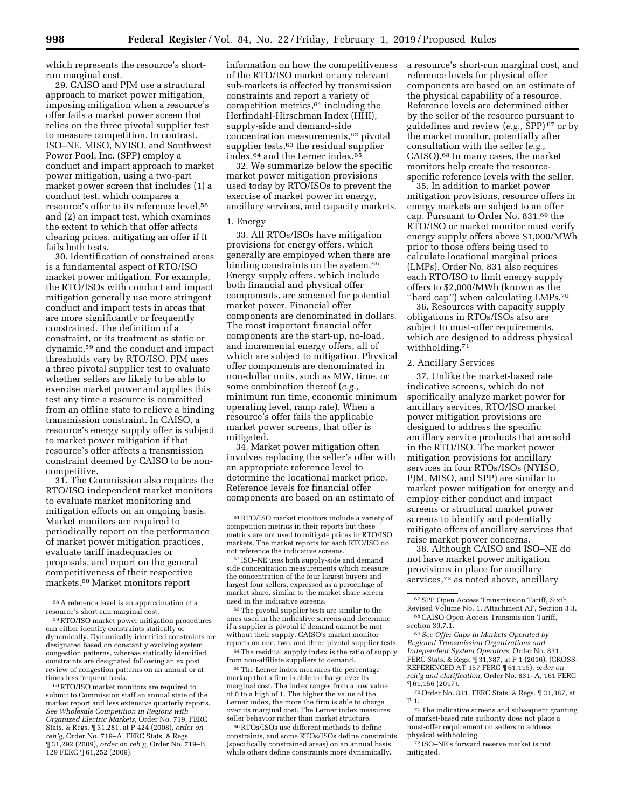which represents the resource's shortrun marginal cost.

29. CAISO and PJM use a structural approach to market power mitigation, imposing mitigation when a resource's offer fails a market power screen that relies on the three pivotal supplier test to measure competition. In contrast, ISO–NE, MISO, NYISO, and Southwest Power Pool, Inc. (SPP) employ a conduct and impact approach to market power mitigation, using a two-part market power screen that includes (1) a conduct test, which compares a resource's offer to its reference level,58 and (2) an impact test, which examines the extent to which that offer affects clearing prices, mitigating an offer if it fails both tests.

30. Identification of constrained areas is a fundamental aspect of RTO/ISO market power mitigation. For example, the RTO/ISOs with conduct and impact mitigation generally use more stringent conduct and impact tests in areas that are more significantly or frequently constrained. The definition of a constraint, or its treatment as static or dynamic,59 and the conduct and impact thresholds vary by RTO/ISO. PJM uses a three pivotal supplier test to evaluate whether sellers are likely to be able to exercise market power and applies this test any time a resource is committed from an offline state to relieve a binding transmission constraint. In CAISO, a resource's energy supply offer is subject to market power mitigation if that resource's offer affects a transmission constraint deemed by CAISO to be noncompetitive.

31. The Commission also requires the RTO/ISO independent market monitors to evaluate market monitoring and mitigation efforts on an ongoing basis. Market monitors are required to periodically report on the performance of market power mitigation practices, evaluate tariff inadequacies or proposals, and report on the general competitiveness of their respective markets.60 Market monitors report

60RTO/ISO market monitors are required to submit to Commission staff an annual state of the market report and less extensive quarterly reports. *See Wholesale Competition in Regions with Organized Electric Markets,* Order No. 719, FERC Stats. & Regs. ¶ 31,281, at P 424 (2008), *order on reh'g,* Order No. 719–A, FERC Stats. & Regs. ¶ 31,292 (2009), *order on reh'g,* Order No. 719–B, 129 FERC ¶ 61,252 (2009).

information on how the competitiveness of the RTO/ISO market or any relevant sub-markets is affected by transmission constraints and report a variety of competition metrics, $61$  including the Herfindahl-Hirschman Index (HHI), supply-side and demand-side concentration measurements,62 pivotal supplier tests,<sup>63</sup> the residual supplier index,64 and the Lerner index.65

32. We summarize below the specific market power mitigation provisions used today by RTO/ISOs to prevent the exercise of market power in energy, ancillary services, and capacity markets.

### 1. Energy

33. All RTOs/ISOs have mitigation provisions for energy offers, which generally are employed when there are binding constraints on the system.<sup>66</sup> Energy supply offers, which include both financial and physical offer components, are screened for potential market power. Financial offer components are denominated in dollars. The most important financial offer components are the start-up, no-load, and incremental energy offers, all of which are subject to mitigation. Physical offer components are denominated in non-dollar units, such as MW, time, or some combination thereof (*e.g.,*  minimum run time, economic minimum operating level, ramp rate). When a resource's offer fails the applicable market power screens, that offer is mitigated.

34. Market power mitigation often involves replacing the seller's offer with an appropriate reference level to determine the locational market price. Reference levels for financial offer components are based on an estimate of

63The pivotal supplier tests are similar to the ones used in the indicative screens and determine if a supplier is pivotal if demand cannot be met without their supply. CAISO's market monitor reports on one, two, and three pivotal supplier tests.

64The residual supply index is the ratio of supply from non-affiliate suppliers to demand.

65The Lerner index measures the percentage markup that a firm is able to charge over its marginal cost. The index ranges from a low value of 0 to a high of 1. The higher the value of the Lerner index, the more the firm is able to charge over its marginal cost. The Lerner index measures seller behavior rather than market structure.

66RTOs/ISOs use different methods to define constraints, and some RTOs/ISOs define constraints (specifically constrained areas) on an annual basis while others define constraints more dynamically.

a resource's short-run marginal cost, and reference levels for physical offer components are based on an estimate of the physical capability of a resource. Reference levels are determined either by the seller of the resource pursuant to guidelines and review (*e.g.,* SPP) 67 or by the market monitor, potentially after consultation with the seller (*e.g.,*  CAISO).68 In many cases, the market monitors help create the resourcespecific reference levels with the seller.

35. In addition to market power mitigation provisions, resource offers in energy markets are subject to an offer cap. Pursuant to Order No. 831,69 the RTO/ISO or market monitor must verify energy supply offers above \$1,000/MWh prior to those offers being used to calculate locational marginal prices (LMPs). Order No. 831 also requires each RTO/ISO to limit energy supply offers to \$2,000/MWh (known as the "hard cap") when calculating LMPs.<sup>70</sup>

36. Resources with capacity supply obligations in RTOs/ISOs also are subject to must-offer requirements, which are designed to address physical withholding.<sup>71</sup>

### 2. Ancillary Services

37. Unlike the market-based rate indicative screens, which do not specifically analyze market power for ancillary services, RTO/ISO market power mitigation provisions are designed to address the specific ancillary service products that are sold in the RTO/ISO. The market power mitigation provisions for ancillary services in four RTOs/ISOs (NYISO, PJM, MISO, and SPP) are similar to market power mitigation for energy and employ either conduct and impact screens or structural market power screens to identify and potentially mitigate offers of ancillary services that raise market power concerns.

38. Although CAISO and ISO–NE do not have market power mitigation provisions in place for ancillary services,<sup>72</sup> as noted above, ancillary

69*See Offer Caps in Markets Operated by Regional Transmission Organizations and Independent System Operators,* Order No. 831, FERC Stats. & Regs. ¶ 31,387, at P 1 (2016), (CROSS-REFERENCED AT 157 FERC ¶ 61,115), *order on reh'g and clarification,* Order No. 831–A, 161 FERC ¶ 61,156 (2017).

70Order No. 831, FERC Stats. & Regs. ¶ 31,387, at P 1.

71The indicative screens and subsequent granting of market-based rate authority does not place a must-offer requirement on sellers to address physical withholding.

72 ISO–NE's forward reserve market is not mitigated.

<sup>58</sup>A reference level is an approximation of a resource's short-run marginal cost.

<sup>59</sup>RTO/ISO market power mitigation procedures can either identify constraints statically or dynamically. Dynamically identified constraints are designated based on constantly evolving system congestion patterns, whereas statically identified constraints are designated following an ex post review of congestion patterns on an annual or at times less frequent basis.

<sup>61</sup>RTO/ISO market monitors include a variety of competition metrics in their reports but these metrics are not used to mitigate prices in RTO/ISO markets. The market reports for each RTO/ISO do not reference the indicative screens.

<sup>62</sup> ISO–NE uses both supply-side and demand side concentration measurements which measure the concentration of the four largest buyers and largest four sellers, expressed as a percentage of market share, similar to the market share screen used in the indicative screens.

<sup>67</sup>SPP Open Access Transmission Tariff, Sixth Revised Volume No. 1, Attachment AF, Section 3.3.

<sup>68</sup>CAISO Open Access Transmission Tariff, section 39.7.1.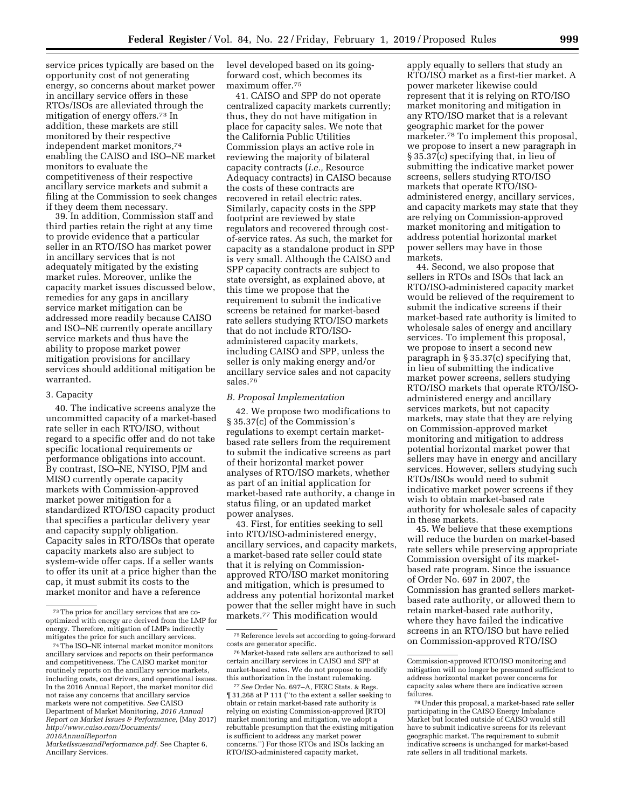service prices typically are based on the opportunity cost of not generating energy, so concerns about market power in ancillary service offers in these RTOs/ISOs are alleviated through the mitigation of energy offers.73 In addition, these markets are still monitored by their respective independent market monitors,74 enabling the CAISO and ISO–NE market monitors to evaluate the competitiveness of their respective ancillary service markets and submit a filing at the Commission to seek changes if they deem them necessary.

39. In addition, Commission staff and third parties retain the right at any time to provide evidence that a particular seller in an RTO/ISO has market power in ancillary services that is not adequately mitigated by the existing market rules. Moreover, unlike the capacity market issues discussed below, remedies for any gaps in ancillary service market mitigation can be addressed more readily because CAISO and ISO–NE currently operate ancillary service markets and thus have the ability to propose market power mitigation provisions for ancillary services should additional mitigation be warranted.

#### 3. Capacity

40. The indicative screens analyze the uncommitted capacity of a market-based rate seller in each RTO/ISO, without regard to a specific offer and do not take specific locational requirements or performance obligations into account. By contrast, ISO–NE, NYISO, PJM and MISO currently operate capacity markets with Commission-approved market power mitigation for a standardized RTO/ISO capacity product that specifies a particular delivery year and capacity supply obligation. Capacity sales in RTO/ISOs that operate capacity markets also are subject to system-wide offer caps. If a seller wants to offer its unit at a price higher than the cap, it must submit its costs to the market monitor and have a reference

*[2016AnnualReporton](http://www.caiso.com/Documents/2016AnnualReportonMarketIssuesandPerformance.pdf)*

level developed based on its goingforward cost, which becomes its maximum offer.75

41. CAISO and SPP do not operate centralized capacity markets currently; thus, they do not have mitigation in place for capacity sales. We note that the California Public Utilities Commission plays an active role in reviewing the majority of bilateral capacity contracts (*i.e.,* Resource Adequacy contracts) in CAISO because the costs of these contracts are recovered in retail electric rates. Similarly, capacity costs in the SPP footprint are reviewed by state regulators and recovered through costof-service rates. As such, the market for capacity as a standalone product in SPP is very small. Although the CAISO and SPP capacity contracts are subject to state oversight, as explained above, at this time we propose that the requirement to submit the indicative screens be retained for market-based rate sellers studying RTO/ISO markets that do not include RTO/ISOadministered capacity markets, including CAISO and SPP, unless the seller is only making energy and/or ancillary service sales and not capacity sales.76

#### *B. Proposal Implementation*

42. We propose two modifications to § 35.37(c) of the Commission's regulations to exempt certain marketbased rate sellers from the requirement to submit the indicative screens as part of their horizontal market power analyses of RTO/ISO markets, whether as part of an initial application for market-based rate authority, a change in status filing, or an updated market power analyses.

43. First, for entities seeking to sell into RTO/ISO-administered energy, ancillary services, and capacity markets, a market-based rate seller could state that it is relying on Commissionapproved RTO/ISO market monitoring and mitigation, which is presumed to address any potential horizontal market power that the seller might have in such markets.77 This modification would

apply equally to sellers that study an RTO/ISO market as a first-tier market. A power marketer likewise could represent that it is relying on RTO/ISO market monitoring and mitigation in any RTO/ISO market that is a relevant geographic market for the power marketer.78 To implement this proposal, we propose to insert a new paragraph in § 35.37(c) specifying that, in lieu of submitting the indicative market power screens, sellers studying RTO/ISO markets that operate RTO/ISOadministered energy, ancillary services, and capacity markets may state that they are relying on Commission-approved market monitoring and mitigation to address potential horizontal market power sellers may have in those markets.

44. Second, we also propose that sellers in RTOs and ISOs that lack an RTO/ISO-administered capacity market would be relieved of the requirement to submit the indicative screens if their market-based rate authority is limited to wholesale sales of energy and ancillary services. To implement this proposal, we propose to insert a second new paragraph in § 35.37(c) specifying that, in lieu of submitting the indicative market power screens, sellers studying RTO/ISO markets that operate RTO/ISOadministered energy and ancillary services markets, but not capacity markets, may state that they are relying on Commission-approved market monitoring and mitigation to address potential horizontal market power that sellers may have in energy and ancillary services. However, sellers studying such RTOs/ISOs would need to submit indicative market power screens if they wish to obtain market-based rate authority for wholesale sales of capacity in these markets.

45. We believe that these exemptions will reduce the burden on market-based rate sellers while preserving appropriate Commission oversight of its marketbased rate program. Since the issuance of Order No. 697 in 2007, the Commission has granted sellers marketbased rate authority, or allowed them to retain market-based rate authority, where they have failed the indicative screens in an RTO/ISO but have relied on Commission-approved RTO/ISO

<sup>73</sup>The price for ancillary services that are cooptimized with energy are derived from the LMP for energy. Therefore, mitigation of LMPs indirectly mitigates the price for such ancillary services.

<sup>74</sup>The ISO–NE internal market monitor monitors ancillary services and reports on their performance and competitiveness. The CAISO market monitor routinely reports on the ancillary service markets, including costs, cost drivers, and operational issues. In the 2016 Annual Report, the market monitor did not raise any concerns that ancillary service markets were not competitive. *See* CAISO Department of Market Monitoring, *2016 Annual Report on Market Issues & Performance,* (May 2017) *[http://www.caiso.com/Documents/](http://www.caiso.com/Documents/2016AnnualReportonMarketIssuesandPerformance.pdf)* 

*[MarketIssuesandPerformance.pdf.](http://www.caiso.com/Documents/2016AnnualReportonMarketIssuesandPerformance.pdf)* See Chapter 6, Ancillary Services.

<sup>75</sup>Reference levels set according to going-forward costs are generator specific.

<sup>76</sup>Market-based rate sellers are authorized to sell certain ancillary services in CAISO and SPP at market-based rates. We do not propose to modify this authorization in the instant rulemaking.

<sup>77</sup>*See* Order No. 697–A, FERC Stats. & Regs. ¶ 31,268 at P 111 (''to the extent a seller seeking to obtain or retain market-based rate authority is relying on existing Commission-approved [RTO] market monitoring and mitigation, we adopt a rebuttable presumption that the existing mitigation is sufficient to address any market power concerns.'') For those RTOs and ISOs lacking an RTO/ISO-administered capacity market,

Commission-approved RTO/ISO monitoring and mitigation will no longer be presumed sufficient to address horizontal market power concerns for capacity sales where there are indicative screen failures.

<sup>78</sup>Under this proposal, a market-based rate seller participating in the CAISO Energy Imbalance Market but located outside of CAISO would still have to submit indicative screens for its relevant geographic market. The requirement to submit indicative screens is unchanged for market-based rate sellers in all traditional markets.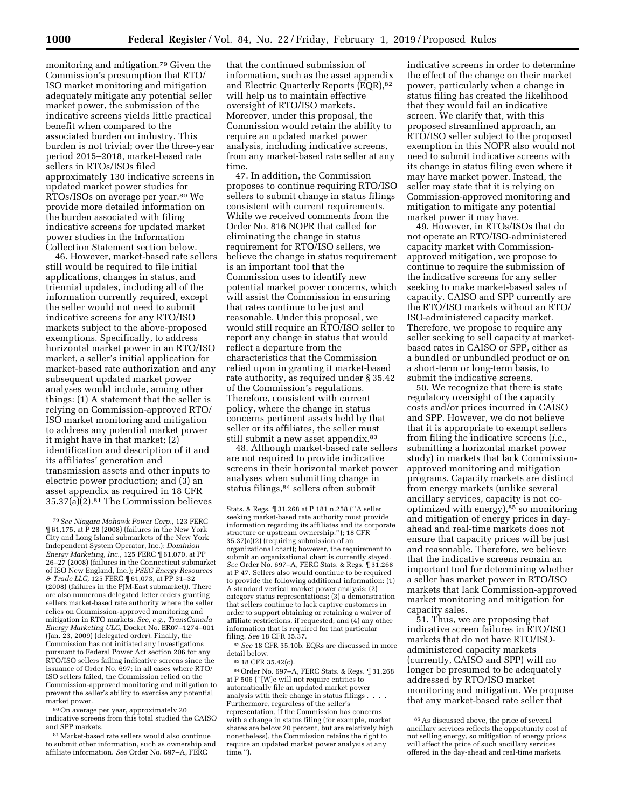monitoring and mitigation.79 Given the Commission's presumption that RTO/ ISO market monitoring and mitigation adequately mitigate any potential seller market power, the submission of the indicative screens yields little practical benefit when compared to the associated burden on industry. This burden is not trivial; over the three-year period 2015–2018, market-based rate sellers in RTOs/ISOs filed approximately 130 indicative screens in updated market power studies for RTOs/ISOs on average per year.80 We provide more detailed information on the burden associated with filing indicative screens for updated market power studies in the Information Collection Statement section below.

46. However, market-based rate sellers still would be required to file initial applications, changes in status, and triennial updates, including all of the information currently required, except the seller would not need to submit indicative screens for any RTO/ISO markets subject to the above-proposed exemptions. Specifically, to address horizontal market power in an RTO/ISO market, a seller's initial application for market-based rate authorization and any subsequent updated market power analyses would include, among other things: (1) A statement that the seller is relying on Commission-approved RTO/ ISO market monitoring and mitigation to address any potential market power it might have in that market; (2) identification and description of it and its affiliates' generation and transmission assets and other inputs to electric power production; and (3) an asset appendix as required in 18 CFR 35.37(a)(2).81 The Commission believes

80On average per year, approximately 20 indicative screens from this total studied the CAISO and SPP markets.

81Market-based rate sellers would also continue to submit other information, such as ownership and affiliate information. *See* Order No. 697–A, FERC

that the continued submission of information, such as the asset appendix and Electric Quarterly Reports (EQR),82 will help us to maintain effective oversight of RTO/ISO markets. Moreover, under this proposal, the Commission would retain the ability to require an updated market power analysis, including indicative screens, from any market-based rate seller at any time.

47. In addition, the Commission proposes to continue requiring RTO/ISO sellers to submit change in status filings consistent with current requirements. While we received comments from the Order No. 816 NOPR that called for eliminating the change in status requirement for RTO/ISO sellers, we believe the change in status requirement is an important tool that the Commission uses to identify new potential market power concerns, which will assist the Commission in ensuring that rates continue to be just and reasonable. Under this proposal, we would still require an RTO/ISO seller to report any change in status that would reflect a departure from the characteristics that the Commission relied upon in granting it market-based rate authority, as required under § 35.42 of the Commission's regulations. Therefore, consistent with current policy, where the change in status concerns pertinent assets held by that seller or its affiliates, the seller must still submit a new asset appendix.<sup>83</sup>

48. Although market-based rate sellers are not required to provide indicative screens in their horizontal market power analyses when submitting change in status filings,84 sellers often submit

<sup>82</sup> See 18 CFR 35.10b. EQRs are discussed in more detail below.

83 18 CFR 35.42(c).

84Order No. 697–A, FERC Stats. & Regs. ¶ 31,268 at P 506 (''[W]e will not require entities to automatically file an updated market power analysis with their change in status filings . . . . Furthermore, regardless of the seller's representation, if the Commission has concerns with a change in status filing (for example, market shares are below 20 percent, but are relatively high nonetheless), the Commission retains the right to require an updated market power analysis at any time.'').

indicative screens in order to determine the effect of the change on their market power, particularly when a change in status filing has created the likelihood that they would fail an indicative screen. We clarify that, with this proposed streamlined approach, an RTO/ISO seller subject to the proposed exemption in this NOPR also would not need to submit indicative screens with its change in status filing even where it may have market power. Instead, the seller may state that it is relying on Commission-approved monitoring and mitigation to mitigate any potential market power it may have.

49. However, in RTOs/ISOs that do not operate an RTO/ISO-administered capacity market with Commissionapproved mitigation, we propose to continue to require the submission of the indicative screens for any seller seeking to make market-based sales of capacity. CAISO and SPP currently are the RTO/ISO markets without an RTO/ ISO-administered capacity market. Therefore, we propose to require any seller seeking to sell capacity at marketbased rates in CAISO or SPP, either as a bundled or unbundled product or on a short-term or long-term basis, to submit the indicative screens.

50. We recognize that there is state regulatory oversight of the capacity costs and/or prices incurred in CAISO and SPP. However, we do not believe that it is appropriate to exempt sellers from filing the indicative screens (*i.e.,*  submitting a horizontal market power study) in markets that lack Commissionapproved monitoring and mitigation programs. Capacity markets are distinct from energy markets (unlike several ancillary services, capacity is not cooptimized with energy $,$ <sup>85</sup> so monitoring and mitigation of energy prices in dayahead and real-time markets does not ensure that capacity prices will be just and reasonable. Therefore, we believe that the indicative screens remain an important tool for determining whether a seller has market power in RTO/ISO markets that lack Commission-approved market monitoring and mitigation for capacity sales.

51. Thus, we are proposing that indicative screen failures in RTO/ISO markets that do not have RTO/ISOadministered capacity markets (currently, CAISO and SPP) will no longer be presumed to be adequately addressed by RTO/ISO market monitoring and mitigation. We propose that any market-based rate seller that

<sup>79</sup>*See Niagara Mohawk Power Corp.,* 123 FERC ¶ 61,175, at P 28 (2008) (failures in the New York City and Long Island submarkets of the New York Independent System Operator, Inc.); *Dominion Energy Marketing, Inc.,* 125 FERC ¶ 61,070, at PP 26–27 (2008) (failures in the Connecticut submarket of ISO New England, Inc.); *PSEG Energy Resources & Trade LLC,* 125 FERC ¶ 61,073, at PP 31–32 (2008) (failures in the PJM-East submarket)). There are also numerous delegated letter orders granting sellers market-based rate authority where the seller relies on Commission-approved monitoring and mitigation in RTO markets. *See, e.g., TransCanada Energy Marketing ULC,* Docket No. ER07–1274–001 (Jan. 23, 2009) (delegated order). Finally, the Commission has not initiated any investigations pursuant to Federal Power Act section 206 for any RTO/ISO sellers failing indicative screens since the issuance of Order No. 697; in all cases where RTO/ ISO sellers failed, the Commission relied on the Commission-approved monitoring and mitigation to prevent the seller's ability to exercise any potential market power.

Stats. & Regs. ¶ 31,268 at P 181 n.258 (''A seller seeking market-based rate authority must provide information regarding its affiliates and its corporate structure or upstream ownership.''); 18 CFR 35.37(a)(2) (requiring submission of an organizational chart); however, the requirement to submit an organizational chart is currently stayed. *See* Order No. 697–A, FERC Stats. & Regs. ¶ 31,268 at P 47. Sellers also would continue to be required to provide the following additional information: (1) A standard vertical market power analysis; (2) category status representations; (3) a demonstration that sellers continue to lack captive customers in order to support obtaining or retaining a waiver of affiliate restrictions, if requested; and (4) any other information that is required for that particular filing. *See* 18 CFR 35.37.

<sup>85</sup>As discussed above, the price of several ancillary services reflects the opportunity cost of not selling energy, so mitigation of energy prices will affect the price of such ancillary services offered in the day-ahead and real-time markets.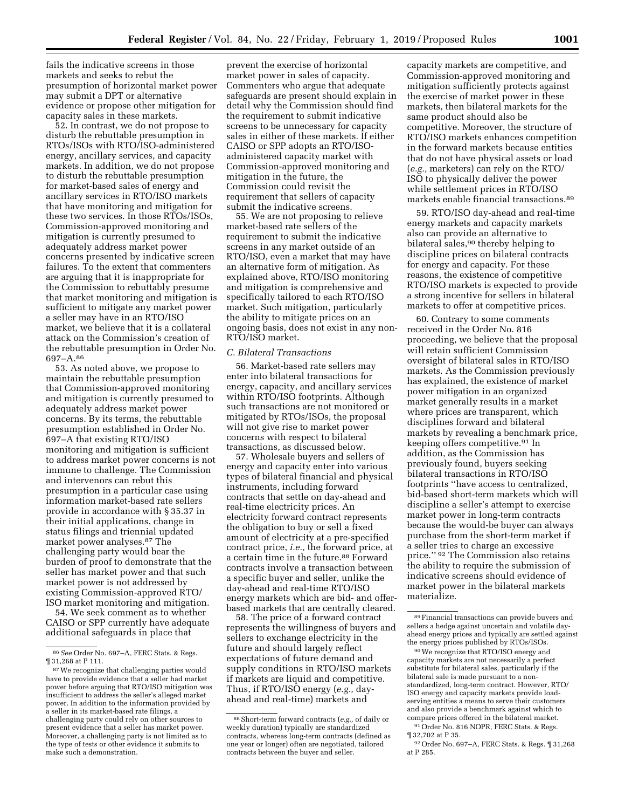fails the indicative screens in those markets and seeks to rebut the presumption of horizontal market power may submit a DPT or alternative evidence or propose other mitigation for capacity sales in these markets.

52. In contrast, we do not propose to disturb the rebuttable presumption in RTOs/ISOs with RTO/ISO-administered energy, ancillary services, and capacity markets. In addition, we do not propose to disturb the rebuttable presumption for market-based sales of energy and ancillary services in RTO/ISO markets that have monitoring and mitigation for these two services. In those RTOs/ISOs, Commission-approved monitoring and mitigation is currently presumed to adequately address market power concerns presented by indicative screen failures. To the extent that commenters are arguing that it is inappropriate for the Commission to rebuttably presume that market monitoring and mitigation is sufficient to mitigate any market power a seller may have in an RTO/ISO market, we believe that it is a collateral attack on the Commission's creation of the rebuttable presumption in Order No. 697–A.86

53. As noted above, we propose to maintain the rebuttable presumption that Commission-approved monitoring and mitigation is currently presumed to adequately address market power concerns. By its terms, the rebuttable presumption established in Order No. 697–A that existing RTO/ISO monitoring and mitigation is sufficient to address market power concerns is not immune to challenge. The Commission and intervenors can rebut this presumption in a particular case using information market-based rate sellers provide in accordance with § 35.37 in their initial applications, change in status filings and triennial updated market power analyses.87 The challenging party would bear the burden of proof to demonstrate that the seller has market power and that such market power is not addressed by existing Commission-approved RTO/ ISO market monitoring and mitigation.

54. We seek comment as to whether CAISO or SPP currently have adequate additional safeguards in place that

prevent the exercise of horizontal market power in sales of capacity. Commenters who argue that adequate safeguards are present should explain in detail why the Commission should find the requirement to submit indicative screens to be unnecessary for capacity sales in either of these markets. If either CAISO or SPP adopts an RTO/ISOadministered capacity market with Commission-approved monitoring and mitigation in the future, the Commission could revisit the requirement that sellers of capacity submit the indicative screens.

55. We are not proposing to relieve market-based rate sellers of the requirement to submit the indicative screens in any market outside of an RTO/ISO, even a market that may have an alternative form of mitigation. As explained above, RTO/ISO monitoring and mitigation is comprehensive and specifically tailored to each RTO/ISO market. Such mitigation, particularly the ability to mitigate prices on an ongoing basis, does not exist in any non-RTO/ISO market.

### *C. Bilateral Transactions*

56. Market-based rate sellers may enter into bilateral transactions for energy, capacity, and ancillary services within RTO/ISO footprints. Although such transactions are not monitored or mitigated by RTOs/ISOs, the proposal will not give rise to market power concerns with respect to bilateral transactions, as discussed below.

57. Wholesale buyers and sellers of energy and capacity enter into various types of bilateral financial and physical instruments, including forward contracts that settle on day-ahead and real-time electricity prices. An electricity forward contract represents the obligation to buy or sell a fixed amount of electricity at a pre-specified contract price, *i.e.,* the forward price, at a certain time in the future.88 Forward contracts involve a transaction between a specific buyer and seller, unlike the day-ahead and real-time RTO/ISO energy markets which are bid- and offerbased markets that are centrally cleared.

58. The price of a forward contract represents the willingness of buyers and sellers to exchange electricity in the future and should largely reflect expectations of future demand and supply conditions in RTO/ISO markets if markets are liquid and competitive. Thus, if RTO/ISO energy (*e.g.,* dayahead and real-time) markets and

capacity markets are competitive, and Commission-approved monitoring and mitigation sufficiently protects against the exercise of market power in these markets, then bilateral markets for the same product should also be competitive. Moreover, the structure of RTO/ISO markets enhances competition in the forward markets because entities that do not have physical assets or load (*e.g.,* marketers) can rely on the RTO/ ISO to physically deliver the power while settlement prices in RTO/ISO markets enable financial transactions.89

59. RTO/ISO day-ahead and real-time energy markets and capacity markets also can provide an alternative to bilateral sales,<sup>90</sup> thereby helping to discipline prices on bilateral contracts for energy and capacity. For these reasons, the existence of competitive RTO/ISO markets is expected to provide a strong incentive for sellers in bilateral markets to offer at competitive prices.

60. Contrary to some comments received in the Order No. 816 proceeding, we believe that the proposal will retain sufficient Commission oversight of bilateral sales in RTO/ISO markets. As the Commission previously has explained, the existence of market power mitigation in an organized market generally results in a market where prices are transparent, which disciplines forward and bilateral markets by revealing a benchmark price, keeping offers competitive.91 In addition, as the Commission has previously found, buyers seeking bilateral transactions in RTO/ISO footprints ''have access to centralized, bid-based short-term markets which will discipline a seller's attempt to exercise market power in long-term contracts because the would-be buyer can always purchase from the short-term market if a seller tries to charge an excessive price.'' 92 The Commission also retains the ability to require the submission of indicative screens should evidence of market power in the bilateral markets materialize.

90We recognize that RTO/ISO energy and capacity markets are not necessarily a perfect substitute for bilateral sales, particularly if the bilateral sale is made pursuant to a nonstandardized, long-term contract. However, RTO/ ISO energy and capacity markets provide loadserving entities a means to serve their customers and also provide a benchmark against which to compare prices offered in the bilateral market.

91Order No. 816 NOPR, FERC Stats. & Regs. ¶ 32,702 at P 35.

<sup>86</sup>*See* Order No. 697–A, FERC Stats. & Regs. ¶ 31,268 at P 111.

<sup>87</sup>We recognize that challenging parties would have to provide evidence that a seller had market power before arguing that RTO/ISO mitigation was insufficient to address the seller's alleged market power. In addition to the information provided by a seller in its market-based rate filings, a challenging party could rely on other sources to present evidence that a seller has market power. Moreover, a challenging party is not limited as to the type of tests or other evidence it submits to make such a demonstration.

<sup>88</sup>Short-term forward contracts (*e.g.,* of daily or weekly duration) typically are standardized contracts, whereas long-term contracts (defined as one year or longer) often are negotiated, tailored contracts between the buyer and seller.

<sup>89</sup>Financial transactions can provide buyers and sellers a hedge against uncertain and volatile dayahead energy prices and typically are settled against the energy prices published by RTOs/ISOs.

<sup>92</sup>Order No. 697–A, FERC Stats. & Regs. ¶ 31,268 at P 285.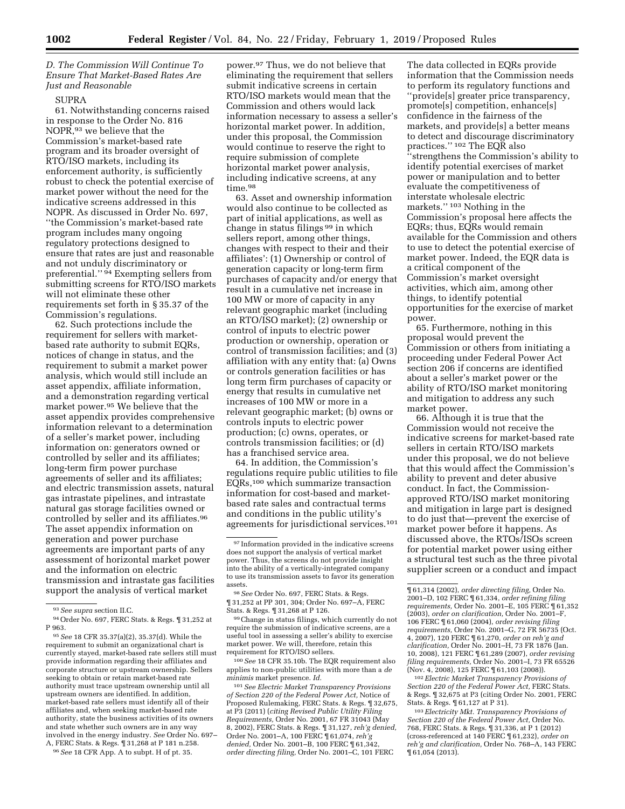# *D. The Commission Will Continue To Ensure That Market-Based Rates Are Just and Reasonable*

## SUPRA

61. Notwithstanding concerns raised in response to the Order No. 816 NOPR,93 we believe that the Commission's market-based rate program and its broader oversight of RTO/ISO markets, including its enforcement authority, is sufficiently robust to check the potential exercise of market power without the need for the indicative screens addressed in this NOPR. As discussed in Order No. 697, ''the Commission's market-based rate program includes many ongoing regulatory protections designed to ensure that rates are just and reasonable and not unduly discriminatory or preferential.'' 94 Exempting sellers from submitting screens for RTO/ISO markets will not eliminate these other requirements set forth in § 35.37 of the Commission's regulations.

62. Such protections include the requirement for sellers with marketbased rate authority to submit EQRs, notices of change in status, and the requirement to submit a market power analysis, which would still include an asset appendix, affiliate information, and a demonstration regarding vertical market power.95 We believe that the asset appendix provides comprehensive information relevant to a determination of a seller's market power, including information on: generators owned or controlled by seller and its affiliates; long-term firm power purchase agreements of seller and its affiliates; and electric transmission assets, natural gas intrastate pipelines, and intrastate natural gas storage facilities owned or controlled by seller and its affiliates.96 The asset appendix information on generation and power purchase agreements are important parts of any assessment of horizontal market power and the information on electric transmission and intrastate gas facilities support the analysis of vertical market

96*See* 18 CFR App. A to subpt. H of pt. 35.

power.97 Thus, we do not believe that eliminating the requirement that sellers submit indicative screens in certain RTO/ISO markets would mean that the Commission and others would lack information necessary to assess a seller's horizontal market power. In addition, under this proposal, the Commission would continue to reserve the right to require submission of complete horizontal market power analysis, including indicative screens, at any time.98

63. Asset and ownership information would also continue to be collected as part of initial applications, as well as change in status filings 99 in which sellers report, among other things, changes with respect to their and their affiliates': (1) Ownership or control of generation capacity or long-term firm purchases of capacity and/or energy that result in a cumulative net increase in 100 MW or more of capacity in any relevant geographic market (including an RTO/ISO market); (2) ownership or control of inputs to electric power production or ownership, operation or control of transmission facilities; and (3) affiliation with any entity that: (a) Owns or controls generation facilities or has long term firm purchases of capacity or energy that results in cumulative net increases of 100 MW or more in a relevant geographic market; (b) owns or controls inputs to electric power production; (c) owns, operates, or controls transmission facilities; or (d) has a franchised service area.

64. In addition, the Commission's regulations require public utilities to file EQRs,100 which summarize transaction information for cost-based and marketbased rate sales and contractual terms and conditions in the public utility's agreements for jurisdictional services.101

99Change in status filings, which currently do not require the submission of indicative screens, are a useful tool in assessing a seller's ability to exercise market power. We will, therefore, retain this requirement for RTO/ISO sellers.

100*See* 18 CFR 35.10b. The EQR requirement also applies to non-public utilities with more than a *de minimis* market presence. *Id.* 

101*See Electric Market Transparency Provisions of Section 220 of the Federal Power Act,* Notice of Proposed Rulemaking, FERC Stats. & Regs. ¶ 32,675, at P3 (2011) (*citing Revised Public Utility Filing Requirements,* Order No. 2001, 67 FR 31043 (May 8, 2002), FERC Stats. & Regs. ¶ 31,127, *reh'g denied,*  Order No. 2001–A, 100 FERC ¶ 61,074, *reh'g denied,* Order No. 2001–B, 100 FERC ¶ 61,342, *order directing filing,* Order No. 2001–C, 101 FERC

The data collected in EQRs provide information that the Commission needs to perform its regulatory functions and ''provide[s] greater price transparency, promote[s] competition, enhance[s] confidence in the fairness of the markets, and provide[s] a better means to detect and discourage discriminatory practices.'' 102 The EQR also ''strengthens the Commission's ability to identify potential exercises of market power or manipulation and to better evaluate the competitiveness of interstate wholesale electric markets.'' 103 Nothing in the Commission's proposal here affects the EQRs; thus, EQRs would remain available for the Commission and others to use to detect the potential exercise of market power. Indeed, the EQR data is a critical component of the Commission's market oversight activities, which aim, among other things, to identify potential opportunities for the exercise of market power.

65. Furthermore, nothing in this proposal would prevent the Commission or others from initiating a proceeding under Federal Power Act section 206 if concerns are identified about a seller's market power or the ability of RTO/ISO market monitoring and mitigation to address any such market power.

66. Although it is true that the Commission would not receive the indicative screens for market-based rate sellers in certain RTO/ISO markets under this proposal, we do not believe that this would affect the Commission's ability to prevent and deter abusive conduct. In fact, the Commissionapproved RTO/ISO market monitoring and mitigation in large part is designed to do just that—prevent the exercise of market power before it happens. As discussed above, the RTOs/ISOs screen for potential market power using either a structural test such as the three pivotal supplier screen or a conduct and impact

102*Electric Market Transparency Provisions of Section 220 of the Federal Power Act,* FERC Stats. & Regs. ¶ 32,675 at P3 (citing Order No. 2001, FERC Stats. & Regs. ¶ 61,127 at P 31).

103*Electricity Mkt. Transparency Provisions of Section 220 of the Federal Power Act,* Order No. 768, FERC Stats. & Regs. ¶ 31,336, at P 1 (2012) (cross-referenced at 140 FERC ¶ 61,232), *order on reh'g and clarification,* Order No. 768–A, 143 FERC ¶ 61,054 (2013).

<sup>93</sup>*See supra* section II.C.

<sup>94</sup>Order No. 697, FERC Stats. & Regs. ¶ 31,252 at P 963.

<sup>95</sup>*See* 18 CFR 35.37(a)(2), 35.37(d). While the requirement to submit an organizational chart is currently stayed, market-based rate sellers still must provide information regarding their affiliates and corporate structure or upstream ownership. Sellers seeking to obtain or retain market-based rate authority must trace upstream ownership until all upstream owners are identified. In addition, market-based rate sellers must identify all of their affiliates and, when seeking market-based rate authority, state the business activities of its owners and state whether such owners are in any way involved in the energy industry. *See* Order No. 697– A, FERC Stats. & Regs. ¶ 31,268 at P 181 n.258.

<sup>97</sup> Information provided in the indicative screens does not support the analysis of vertical market power. Thus, the screens do not provide insight into the ability of a vertically-integrated company to use its transmission assets to favor its generation assets.

<sup>98</sup>*See* Order No. 697, FERC Stats. & Regs. ¶ 31,252 at PP 301, 304; Order No. 697–A, FERC Stats. & Regs. ¶ 31,268 at P 126.

<sup>¶ 61,314 (2002),</sup> *order directing filing,* Order No. 2001–D, 102 FERC ¶ 61,334, *order refining filing requirements,* Order No. 2001–E, 105 FERC ¶ 61,352 (2003), *order on clarification,* Order No. 2001–F, 106 FERC ¶ 61,060 (2004), *order revising filing requirements,* Order No. 2001–G, 72 FR 56735 (Oct. 4, 2007), 120 FERC ¶ 61,270, *order on reh'g and clarification,* Order No. 2001–H, 73 FR 1876 (Jan. 10, 2008), 121 FERC ¶ 61,289 (2007), *order revising filing requirements,* Order No. 2001–I, 73 FR 65526 (Nov. 4, 2008), 125 FERC ¶ 61,103 (2008)).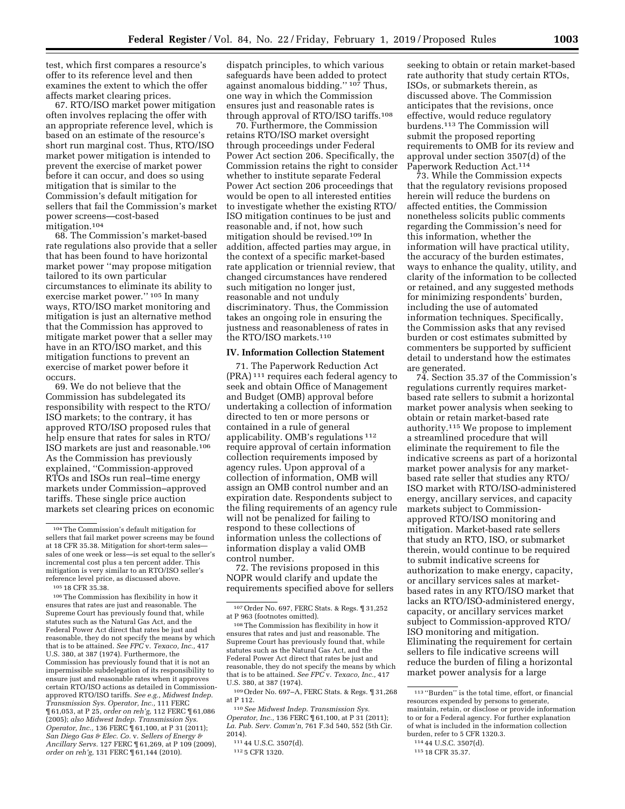test, which first compares a resource's offer to its reference level and then examines the extent to which the offer affects market clearing prices.

67. RTO/ISO market power mitigation often involves replacing the offer with an appropriate reference level, which is based on an estimate of the resource's short run marginal cost. Thus, RTO/ISO market power mitigation is intended to prevent the exercise of market power before it can occur, and does so using mitigation that is similar to the Commission's default mitigation for sellers that fail the Commission's market power screens—cost-based mitigation.104

68. The Commission's market-based rate regulations also provide that a seller that has been found to have horizontal market power ''may propose mitigation tailored to its own particular circumstances to eliminate its ability to exercise market power.'' 105 In many ways, RTO/ISO market monitoring and mitigation is just an alternative method that the Commission has approved to mitigate market power that a seller may have in an RTO/ISO market, and this mitigation functions to prevent an exercise of market power before it occurs.

69. We do not believe that the Commission has subdelegated its responsibility with respect to the RTO/ ISO markets; to the contrary, it has approved RTO/ISO proposed rules that help ensure that rates for sales in RTO/ ISO markets are just and reasonable.106 As the Commission has previously explained, ''Commission-approved RTOs and ISOs run real–time energy markets under Commission–approved tariffs. These single price auction markets set clearing prices on economic

106The Commission has flexibility in how it ensures that rates are just and reasonable. The Supreme Court has previously found that, while statutes such as the Natural Gas Act, and the Federal Power Act direct that rates be just and reasonable, they do not specify the means by which that is to be attained. *See FPC* v. *Texaco, Inc.,* 417 U.S. 380, at 387 (1974). Furthermore, the Commission has previously found that it is not an impermissible subdelegation of its responsibility to ensure just and reasonable rates when it approves certain RTO/ISO actions as detailed in Commissionapproved RTO/ISO tariffs. *See e.g., Midwest Indep. Transmission Sys. Operator, Inc.,* 111 FERC ¶ 61,053, at P 25, *order on reh'g,* 112 FERC ¶ 61,086 (2005); *also Midwest Indep. Transmission Sys. Operator, Inc., 136 FERC* 161,100, at P 31 (2011); *San Diego Gas & Elec. Co.* v. *Sellers of Energy & Ancillary Servs.* 127 FERC ¶ 61,269, at P 109 (2009), *order on reh'g,* 131 FERC ¶ 61,144 (2010).

dispatch principles, to which various safeguards have been added to protect against anomalous bidding.'' 107 Thus, one way in which the Commission ensures just and reasonable rates is through approval of RTO/ISO tariffs.108

70. Furthermore, the Commission retains RTO/ISO market oversight through proceedings under Federal Power Act section 206. Specifically, the Commission retains the right to consider whether to institute separate Federal Power Act section 206 proceedings that would be open to all interested entities to investigate whether the existing RTO/ ISO mitigation continues to be just and reasonable and, if not, how such mitigation should be revised.109 In addition, affected parties may argue, in the context of a specific market-based rate application or triennial review, that changed circumstances have rendered such mitigation no longer just, reasonable and not unduly discriminatory. Thus, the Commission takes an ongoing role in ensuring the justness and reasonableness of rates in the RTO/ISO markets.110

## **IV. Information Collection Statement**

71. The Paperwork Reduction Act (PRA) 111 requires each federal agency to seek and obtain Office of Management and Budget (OMB) approval before undertaking a collection of information directed to ten or more persons or contained in a rule of general applicability. OMB's regulations 112 require approval of certain information collection requirements imposed by agency rules. Upon approval of a collection of information, OMB will assign an OMB control number and an expiration date. Respondents subject to the filing requirements of an agency rule will not be penalized for failing to respond to these collections of information unless the collections of information display a valid OMB control number.

72. The revisions proposed in this NOPR would clarify and update the requirements specified above for sellers

109Order No. 697–A, FERC Stats. & Regs. ¶ 31,268 at P 112.

110*See Midwest Indep. Transmission Sys. Operator, Inc.,* 136 FERC  $\P$  61,100, at P 31 (2011); *La. Pub. Serv. Comm'n,* 761 F.3d 540, 552 (5th Cir. 2014).

111 44 U.S.C. 3507(d).

112 5 CFR 1320.

seeking to obtain or retain market-based rate authority that study certain RTOs, ISOs, or submarkets therein, as discussed above. The Commission anticipates that the revisions, once effective, would reduce regulatory burdens.113 The Commission will submit the proposed reporting requirements to OMB for its review and approval under section 3507(d) of the Paperwork Reduction Act.114

73. While the Commission expects that the regulatory revisions proposed herein will reduce the burdens on affected entities, the Commission nonetheless solicits public comments regarding the Commission's need for this information, whether the information will have practical utility, the accuracy of the burden estimates, ways to enhance the quality, utility, and clarity of the information to be collected or retained, and any suggested methods for minimizing respondents' burden, including the use of automated information techniques. Specifically, the Commission asks that any revised burden or cost estimates submitted by commenters be supported by sufficient detail to understand how the estimates are generated.

74. Section 35.37 of the Commission's regulations currently requires marketbased rate sellers to submit a horizontal market power analysis when seeking to obtain or retain market-based rate authority.115 We propose to implement a streamlined procedure that will eliminate the requirement to file the indicative screens as part of a horizontal market power analysis for any marketbased rate seller that studies any RTO/ ISO market with RTO/ISO-administered energy, ancillary services, and capacity markets subject to Commissionapproved RTO/ISO monitoring and mitigation. Market-based rate sellers that study an RTO, ISO, or submarket therein, would continue to be required to submit indicative screens for authorization to make energy, capacity, or ancillary services sales at marketbased rates in any RTO/ISO market that lacks an RTO/ISO-administered energy, capacity, or ancillary services market subject to Commission-approved RTO/ ISO monitoring and mitigation. Eliminating the requirement for certain sellers to file indicative screens will reduce the burden of filing a horizontal market power analysis for a large

<sup>104</sup>The Commission's default mitigation for sellers that fail market power screens may be found at 18 CFR 35.38. Mitigation for short-term sales sales of one week or less—is set equal to the seller's incremental cost plus a ten percent adder. This mitigation is very similar to an RTO/ISO seller's reference level price, as discussed above. 105 18 CFR 35.38.

<sup>107</sup>Order No. 697, FERC Stats. & Regs. ¶ 31,252 at P 963 (footnotes omitted).

<sup>108</sup>The Commission has flexibility in how it ensures that rates and just and reasonable. The Supreme Court has previously found that, while statutes such as the Natural Gas Act, and the Federal Power Act direct that rates be just and reasonable, they do not specify the means by which that is to be attained. *See FPC* v. *Texaco, Inc.,* 417 U.S. 380, at 387 (1974).

<sup>113</sup> ''Burden'' is the total time, effort, or financial resources expended by persons to generate, maintain, retain, or disclose or provide information to or for a Federal agency. For further explanation of what is included in the information collection burden, refer to 5 CFR 1320.3.

<sup>114</sup> 44 U.S.C. 3507(d).

<sup>115</sup> 18 CFR 35.37.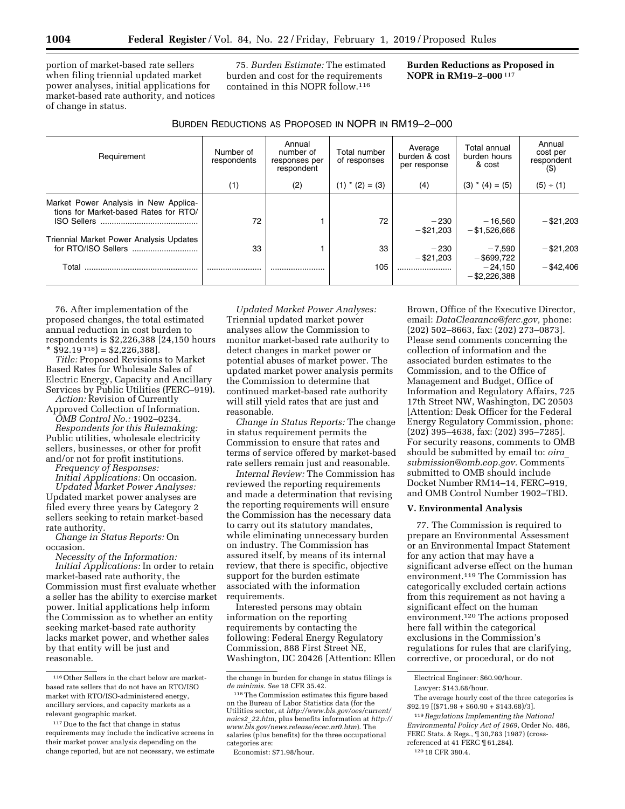portion of market-based rate sellers when filing triennial updated market power analyses, initial applications for market-based rate authority, and notices of change in status.

75. *Burden Estimate:* The estimated burden and cost for the requirements contained in this NOPR follow.116

**Burden Reductions as Proposed in NOPR in RM19–2–000** 117

| Requirement                                                                                          | Number of<br>respondents | Annual<br>number of<br>responses per<br>respondent | Total number<br>of responses | Average<br>burden & cost<br>per response | Total annual<br>burden hours<br>& cost | Annual<br>cost per<br>respondent<br>(5) |
|------------------------------------------------------------------------------------------------------|--------------------------|----------------------------------------------------|------------------------------|------------------------------------------|----------------------------------------|-----------------------------------------|
|                                                                                                      | (1)                      | (2)                                                | $(1)$ * $(2) = (3)$          | (4)                                      | $(3)$ * $(4) = (5)$                    | (5) ÷ (1)                               |
| Market Power Analysis in New Applica-<br>tions for Market-based Rates for RTO/<br><b>ISO Sellers</b> | 72                       |                                                    | 72                           | $-230$<br>$-$ \$21.203                   | $-16.560$<br>$-$ \$1,526,666           | $-$ \$21.203                            |
| Triennial Market Power Analysis Updates                                                              | 33                       |                                                    | 33                           | $-230$<br>$-$ \$21.203                   | $-7,590$<br>$-$ \$699,722              | $-$ \$21,203                            |
| Total                                                                                                |                          |                                                    | 105                          |                                          | $-24.150$<br>$-$ \$2,226,388           | $-$ \$42.406                            |

76. After implementation of the proposed changes, the total estimated annual reduction in cost burden to respondents is \$2,226,388 [24,150 hours  $$92.19^{118}$ = $2,226,388$ .

*Title:* Proposed Revisions to Market Based Rates for Wholesale Sales of Electric Energy, Capacity and Ancillary Services by Public Utilities (FERC–919). *Action:* Revision of Currently

Approved Collection of Information.

*OMB Control No.:* 1902–0234. *Respondents for this Rulemaking:*  Public utilities, wholesale electricity sellers, businesses, or other for profit and/or not for profit institutions.

*Frequency of Responses:* 

*Initial Applications:* On occasion. *Updated Market Power Analyses:*  Updated market power analyses are filed every three years by Category 2 sellers seeking to retain market-based

rate authority. *Change in Status Reports:* On occasion.

*Necessity of the Information: Initial Applications:* In order to retain market-based rate authority, the Commission must first evaluate whether a seller has the ability to exercise market power. Initial applications help inform the Commission as to whether an entity seeking market-based rate authority lacks market power, and whether sales by that entity will be just and reasonable.

*Updated Market Power Analyses:*  Triennial updated market power analyses allow the Commission to monitor market-based rate authority to detect changes in market power or potential abuses of market power. The updated market power analysis permits the Commission to determine that continued market-based rate authority will still yield rates that are just and reasonable.

*Change in Status Reports:* The change in status requirement permits the Commission to ensure that rates and terms of service offered by market-based rate sellers remain just and reasonable.

*Internal Review:* The Commission has reviewed the reporting requirements and made a determination that revising the reporting requirements will ensure the Commission has the necessary data to carry out its statutory mandates, while eliminating unnecessary burden on industry. The Commission has assured itself, by means of its internal review, that there is specific, objective support for the burden estimate associated with the information requirements.

Interested persons may obtain information on the reporting requirements by contacting the following: Federal Energy Regulatory Commission, 888 First Street NE, Washington, DC 20426 [Attention: Ellen

Economist: \$71.98/hour.

Brown, Office of the Executive Director, email: *[DataClearance@ferc.gov,](mailto:DataClearance@ferc.gov)* phone: (202) 502–8663, fax: (202) 273–0873]. Please send comments concerning the collection of information and the associated burden estimates to the Commission, and to the Office of Management and Budget, Office of Information and Regulatory Affairs, 725 17th Street NW, Washington, DC 20503 [Attention: Desk Officer for the Federal Energy Regulatory Commission, phone: (202) 395–4638, fax: (202) 395–7285]. For security reasons, comments to OMB should be submitted by email to: *[oira](mailto:oira_submission@omb.eop.gov)*\_ *[submission@omb.eop.gov.](mailto:oira_submission@omb.eop.gov)* Comments submitted to OMB should include Docket Number RM14–14, FERC–919, and OMB Control Number 1902–TBD.

#### **V. Environmental Analysis**

77. The Commission is required to prepare an Environmental Assessment or an Environmental Impact Statement for any action that may have a significant adverse effect on the human environment.119 The Commission has categorically excluded certain actions from this requirement as not having a significant effect on the human environment.120 The actions proposed here fall within the categorical exclusions in the Commission's regulations for rules that are clarifying, corrective, or procedural, or do not

119*Regulations Implementing the National Environmental Policy Act of 1969,* Order No. 486, FERC Stats. & Regs., ¶ 30,783 (1987) (crossreferenced at 41 FERC ¶ 61,284).

120 18 CFR 380.4.

<sup>116</sup>Other Sellers in the chart below are marketbased rate sellers that do not have an RTO/ISO market with RTO/ISO-administered energy, ancillary services, and capacity markets as a relevant geographic market.

<sup>117</sup> Due to the fact that change in status requirements may include the indicative screens in their market power analysis depending on the change reported, but are not necessary, we estimate

the change in burden for change in status filings is *de minimis. See* 18 CFR 35.42.<br><sup>118</sup> The Commission estimates this figure based

on the Bureau of Labor Statistics data (for the Utilities sector, at *[http://www.bls.gov/oes/current/](http://www.bls.gov/oes/current/naics2_22.htm) naics2*\_*[22.htm,](http://www.bls.gov/oes/current/naics2_22.htm)* plus benefits information at *[http://](http://www.bls.gov/news.release/ecec.nr0.htm) [www.bls.gov/news.release/ecec.nr0.htm](http://www.bls.gov/news.release/ecec.nr0.htm)*). The salaries (plus benefits) for the three occupational categories are:

Electrical Engineer: \$60.90/hour.

Lawyer: \$143.68/hour.

The average hourly cost of the three categories is  $$92.19$  [(\$71.98 + \$60.90 + \$143.68)/3].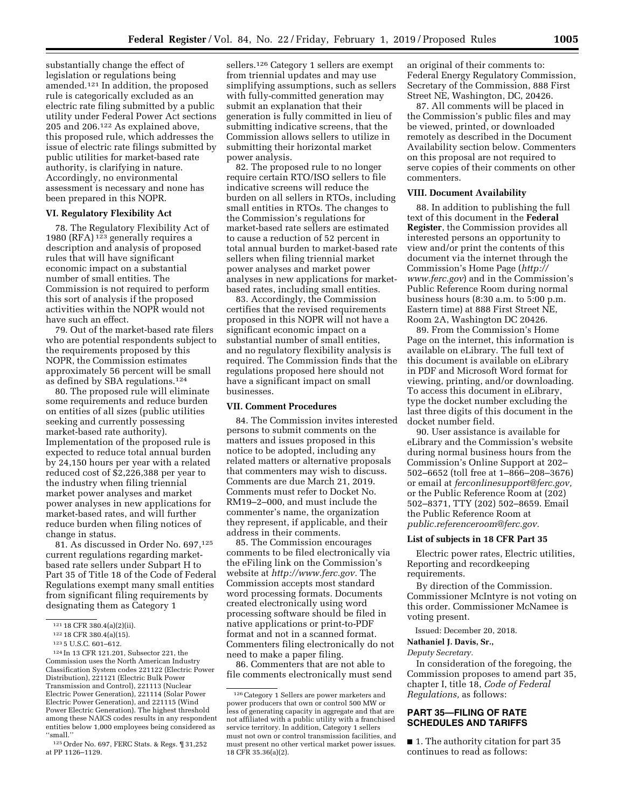substantially change the effect of legislation or regulations being amended.121 In addition, the proposed rule is categorically excluded as an electric rate filing submitted by a public utility under Federal Power Act sections 205 and 206.122 As explained above, this proposed rule, which addresses the issue of electric rate filings submitted by public utilities for market-based rate authority, is clarifying in nature. Accordingly, no environmental assessment is necessary and none has been prepared in this NOPR.

## **VI. Regulatory Flexibility Act**

78. The Regulatory Flexibility Act of 1980 (RFA) 123 generally requires a description and analysis of proposed rules that will have significant economic impact on a substantial number of small entities. The Commission is not required to perform this sort of analysis if the proposed activities within the NOPR would not have such an effect.

79. Out of the market-based rate filers who are potential respondents subject to the requirements proposed by this NOPR, the Commission estimates approximately 56 percent will be small as defined by SBA regulations.124

80. The proposed rule will eliminate some requirements and reduce burden on entities of all sizes (public utilities seeking and currently possessing market-based rate authority). Implementation of the proposed rule is expected to reduce total annual burden by 24,150 hours per year with a related reduced cost of \$2,226,388 per year to the industry when filing triennial market power analyses and market power analyses in new applications for market-based rates, and will further reduce burden when filing notices of change in status.

81. As discussed in Order No. 697,125 current regulations regarding marketbased rate sellers under Subpart H to Part 35 of Title 18 of the Code of Federal Regulations exempt many small entities from significant filing requirements by designating them as Category 1

124 In 13 CFR 121.201, Subsector 221, the Commission uses the North American Industry Classification System codes 221122 (Electric Power Distribution), 221121 (Electric Bulk Power Transmission and Control), 221113 (Nuclear Electric Power Generation), 221114 (Solar Power Electric Power Generation), and 221115 (Wind Power Electric Generation). The highest threshold among these NAICS codes results in any respondent entities below 1,000 employees being considered as ''small.''

sellers.126 Category 1 sellers are exempt from triennial updates and may use simplifying assumptions, such as sellers with fully-committed generation may submit an explanation that their generation is fully committed in lieu of submitting indicative screens, that the Commission allows sellers to utilize in submitting their horizontal market power analysis.

82. The proposed rule to no longer require certain RTO/ISO sellers to file indicative screens will reduce the burden on all sellers in RTOs, including small entities in RTOs. The changes to the Commission's regulations for market-based rate sellers are estimated to cause a reduction of 52 percent in total annual burden to market-based rate sellers when filing triennial market power analyses and market power analyses in new applications for marketbased rates, including small entities.

83. Accordingly, the Commission certifies that the revised requirements proposed in this NOPR will not have a significant economic impact on a substantial number of small entities, and no regulatory flexibility analysis is required. The Commission finds that the regulations proposed here should not have a significant impact on small businesses.

#### **VII. Comment Procedures**

84. The Commission invites interested persons to submit comments on the matters and issues proposed in this notice to be adopted, including any related matters or alternative proposals that commenters may wish to discuss. Comments are due March 21, 2019. Comments must refer to Docket No. RM19–2–000, and must include the commenter's name, the organization they represent, if applicable, and their address in their comments.

85. The Commission encourages comments to be filed electronically via the eFiling link on the Commission's website at *[http://www.ferc.gov.](http://www.ferc.gov)* The Commission accepts most standard word processing formats. Documents created electronically using word processing software should be filed in native applications or print-to-PDF format and not in a scanned format. Commenters filing electronically do not need to make a paper filing.

86. Commenters that are not able to file comments electronically must send an original of their comments to: Federal Energy Regulatory Commission, Secretary of the Commission, 888 First Street NE, Washington, DC, 20426.

87. All comments will be placed in the Commission's public files and may be viewed, printed, or downloaded remotely as described in the Document Availability section below. Commenters on this proposal are not required to serve copies of their comments on other commenters.

#### **VIII. Document Availability**

88. In addition to publishing the full text of this document in the **Federal Register**, the Commission provides all interested persons an opportunity to view and/or print the contents of this document via the internet through the Commission's Home Page (*[http://](http://www.ferc.gov) [www.ferc.gov](http://www.ferc.gov)*) and in the Commission's Public Reference Room during normal business hours (8:30 a.m. to 5:00 p.m. Eastern time) at 888 First Street NE, Room 2A, Washington DC 20426.

89. From the Commission's Home Page on the internet, this information is available on eLibrary. The full text of this document is available on eLibrary in PDF and Microsoft Word format for viewing, printing, and/or downloading. To access this document in eLibrary, type the docket number excluding the last three digits of this document in the docket number field.

90. User assistance is available for eLibrary and the Commission's website during normal business hours from the Commission's Online Support at 202– 502–6652 (toll free at 1–866–208–3676) or email at *[ferconlinesupport@ferc.gov,](mailto:ferconlinesupport@ferc.gov)*  or the Public Reference Room at (202) 502–8371, TTY (202) 502–8659. Email the Public Reference Room at *[public.referenceroom@ferc.gov.](mailto:public.referenceroom@ferc.gov)* 

## **List of subjects in 18 CFR Part 35**

Electric power rates, Electric utilities, Reporting and recordkeeping requirements.

By direction of the Commission. Commissioner McIntyre is not voting on this order. Commissioner McNamee is voting present.

Issued: December 20, 2018.

**Nathaniel J. Davis, Sr.,** 

### *Deputy Secretary.*

In consideration of the foregoing, the Commission proposes to amend part 35, chapter I, title 18, *Code of Federal Regulations,* as follows:

# **PART 35—FILING OF RATE SCHEDULES AND TARIFFS**

■ 1. The authority citation for part 35 continues to read as follows:

<sup>121</sup> 18 CFR 380.4(a)(2)(ii).

<sup>122</sup> 18 CFR 380.4(a)(15).

<sup>123</sup> 5 U.S.C. 601–612.

<sup>125</sup>Order No. 697, FERC Stats. & Regs. ¶ 31,252 at PP 1126–1129.

<sup>126</sup>Category 1 Sellers are power marketers and power producers that own or control 500 MW or less of generating capacity in aggregate and that are not affiliated with a public utility with a franchised service territory. In addition, Category 1 sellers must not own or control transmission facilities, and must present no other vertical market power issues. 18 CFR 35.36(a)(2).